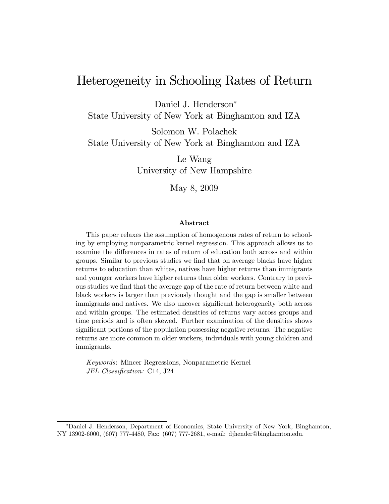# Heterogeneity in Schooling Rates of Return

Daniel J. Henderson<sup>∗</sup>

State University of New York at Binghamton and IZA

Solomon W. Polachek State University of New York at Binghamton and IZA

> Le Wang University of New Hampshire

> > May 8, 2009

#### Abstract

This paper relaxes the assumption of homogenous rates of return to schooling by employing nonparametric kernel regression. This approach allows us to examine the differences in rates of return of education both across and within groups. Similar to previous studies we find that on average blacks have higher returns to education than whites, natives have higher returns than immigrants and younger workers have higher returns than older workers. Contrary to previous studies we find that the average gap of the rate of return between white and black workers is larger than previously thought and the gap is smaller between immigrants and natives. We also uncover significant heterogeneity both across and within groups. The estimated densities of returns vary across groups and time periods and is often skewed. Further examination of the densities shows significant portions of the population possessing negative returns. The negative returns are more common in older workers, individuals with young children and immigrants.

Keywords: Mincer Regressions, Nonparametric Kernel JEL Classification: C14, J24

<sup>∗</sup>Daniel J. Henderson, Department of Economics, State University of New York, Binghamton, NY 13902-6000, (607) 777-4480, Fax: (607) 777-2681, e-mail: djhender@binghamton.edu.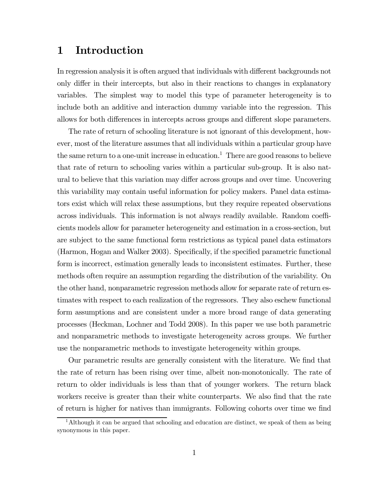## 1 Introduction

In regression analysis it is often argued that individuals with different backgrounds not only differ in their intercepts, but also in their reactions to changes in explanatory variables. The simplest way to model this type of parameter heterogeneity is to include both an additive and interaction dummy variable into the regression. This allows for both differences in intercepts across groups and different slope parameters.

The rate of return of schooling literature is not ignorant of this development, however, most of the literature assumes that all individuals within a particular group have the same return to a one-unit increase in education.<sup>1</sup> There are good reasons to believe that rate of return to schooling varies within a particular sub-group. It is also natural to believe that this variation may differ across groups and over time. Uncovering this variability may contain useful information for policy makers. Panel data estimators exist which will relax these assumptions, but they require repeated observations across individuals. This information is not always readily available. Random coefficients models allow for parameter heterogeneity and estimation in a cross-section, but are subject to the same functional form restrictions as typical panel data estimators (Harmon, Hogan and Walker 2003). Specifically, if the specified parametric functional form is incorrect, estimation generally leads to inconsistent estimates. Further, these methods often require an assumption regarding the distribution of the variability. On the other hand, nonparametric regression methods allow for separate rate of return estimates with respect to each realization of the regressors. They also eschew functional form assumptions and are consistent under a more broad range of data generating processes (Heckman, Lochner and Todd 2008). In this paper we use both parametric and nonparametric methods to investigate heterogeneity across groups. We further use the nonparametric methods to investigate heterogeneity within groups.

Our parametric results are generally consistent with the literature. We find that the rate of return has been rising over time, albeit non-monotonically. The rate of return to older individuals is less than that of younger workers. The return black workers receive is greater than their white counterparts. We also find that the rate of return is higher for natives than immigrants. Following cohorts over time we find

<sup>&</sup>lt;sup>1</sup>Although it can be argued that schooling and education are distinct, we speak of them as being synonymous in this paper.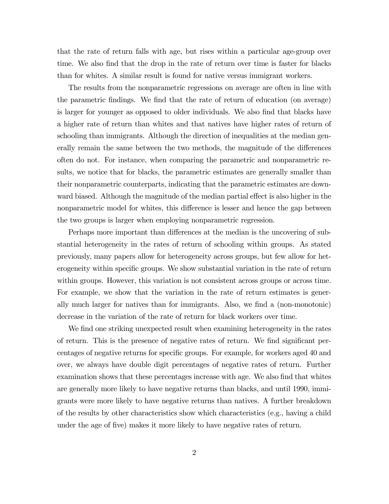that the rate of return falls with age, but rises within a particular age-group over time. We also find that the drop in the rate of return over time is faster for blacks than for whites. A similar result is found for native versus immigrant workers.

The results from the nonparametric regressions on average are often in line with the parametric findings. We find that the rate of return of education (on average) is larger for younger as opposed to older individuals. We also find that blacks have a higher rate of return than whites and that natives have higher rates of return of schooling than immigrants. Although the direction of inequalities at the median generally remain the same between the two methods, the magnitude of the differences often do not. For instance, when comparing the parametric and nonparametric results, we notice that for blacks, the parametric estimates are generally smaller than their nonparametric counterparts, indicating that the parametric estimates are downward biased. Although the magnitude of the median partial effect is also higher in the nonparametric model for whites, this difference is lesser and hence the gap between the two groups is larger when employing nonparametric regression.

Perhaps more important than differences at the median is the uncovering of substantial heterogeneity in the rates of return of schooling within groups. As stated previously, many papers allow for heterogeneity across groups, but few allow for heterogeneity within specific groups. We show substantial variation in the rate of return within groups. However, this variation is not consistent across groups or across time. For example, we show that the variation in the rate of return estimates is generally much larger for natives than for immigrants. Also, we find a (non-monotonic) decrease in the variation of the rate of return for black workers over time.

We find one striking unexpected result when examining heterogeneity in the rates of return. This is the presence of negative rates of return. We find significant percentages of negative returns for specific groups. For example, for workers aged 40 and over, we always have double digit percentages of negative rates of return. Further examination shows that these percentages increase with age. We also find that whites are generally more likely to have negative returns than blacks, and until 1990, immigrants were more likely to have negative returns than natives. A further breakdown of the results by other characteristics show which characteristics (e.g., having a child under the age of five) makes it more likely to have negative rates of return.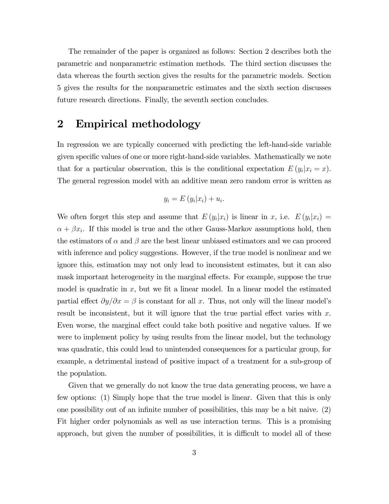The remainder of the paper is organized as follows: Section 2 describes both the parametric and nonparametric estimation methods. The third section discusses the data whereas the fourth section gives the results for the parametric models. Section 5 gives the results for the nonparametric estimates and the sixth section discusses future research directions. Finally, the seventh section concludes.

## 2 Empirical methodology

In regression we are typically concerned with predicting the left-hand-side variable given specific values of one or more right-hand-side variables. Mathematically we note that for a particular observation, this is the conditional expectation  $E(y_i|x_i = x)$ . The general regression model with an additive mean zero random error is written as

$$
y_i = E(y_i|x_i) + u_i.
$$

We often forget this step and assume that  $E(y_i|x_i)$  is linear in x, i.e.  $E(y_i|x_i) =$  $\alpha + \beta x_i$ . If this model is true and the other Gauss-Markov assumptions hold, then the estimators of  $\alpha$  and  $\beta$  are the best linear unbiased estimators and we can proceed with inference and policy suggestions. However, if the true model is nonlinear and we ignore this, estimation may not only lead to inconsistent estimates, but it can also mask important heterogeneity in the marginal effects. For example, suppose the true model is quadratic in  $x$ , but we fit a linear model. In a linear model the estimated partial effect  $\partial y/\partial x = \beta$  is constant for all x. Thus, not only will the linear model's result be inconsistent, but it will ignore that the true partial effect varies with  $x$ . Even worse, the marginal effect could take both positive and negative values. If we were to implement policy by using results from the linear model, but the technology was quadratic, this could lead to unintended consequences for a particular group, for example, a detrimental instead of positive impact of a treatment for a sub-group of the population.

Given that we generally do not know the true data generating process, we have a few options: (1) Simply hope that the true model is linear. Given that this is only one possibility out of an infinite number of possibilities, this may be a bit naive. (2) Fit higher order polynomials as well as use interaction terms. This is a promising approach, but given the number of possibilities, it is difficult to model all of these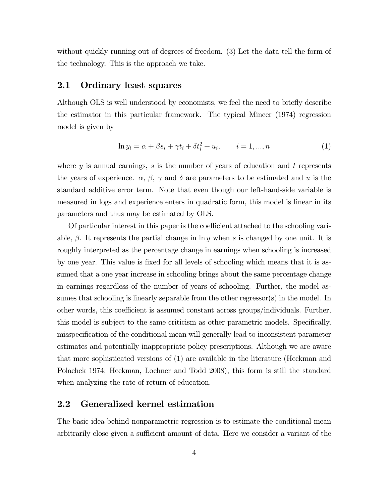without quickly running out of degrees of freedom. (3) Let the data tell the form of the technology. This is the approach we take.

### 2.1 Ordinary least squares

Although OLS is well understood by economists, we feel the need to briefly describe the estimator in this particular framework. The typical Mincer (1974) regression model is given by

$$
\ln y_i = \alpha + \beta s_i + \gamma t_i + \delta t_i^2 + u_i, \qquad i = 1, ..., n
$$
 (1)

where y is annual earnings, s is the number of years of education and t represents the years of experience.  $\alpha$ ,  $\beta$ ,  $\gamma$  and  $\delta$  are parameters to be estimated and u is the standard additive error term. Note that even though our left-hand-side variable is measured in logs and experience enters in quadratic form, this model is linear in its parameters and thus may be estimated by OLS.

Of particular interest in this paper is the coefficient attached to the schooling variable,  $\beta$ . It represents the partial change in ln y when s is changed by one unit. It is roughly interpreted as the percentage change in earnings when schooling is increased by one year. This value is fixed for all levels of schooling which means that it is assumed that a one year increase in schooling brings about the same percentage change in earnings regardless of the number of years of schooling. Further, the model assumes that schooling is linearly separable from the other regressor(s) in the model. In other words, this coefficient is assumed constant across groups/individuals. Further, this model is subject to the same criticism as other parametric models. Specifically, misspecification of the conditional mean will generally lead to inconsistent parameter estimates and potentially inappropriate policy prescriptions. Although we are aware that more sophisticated versions of (1) are available in the literature (Heckman and Polachek 1974; Heckman, Lochner and Todd 2008), this form is still the standard when analyzing the rate of return of education.

## 2.2 Generalized kernel estimation

The basic idea behind nonparametric regression is to estimate the conditional mean arbitrarily close given a sufficient amount of data. Here we consider a variant of the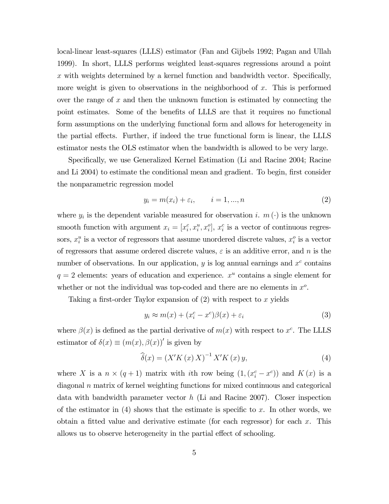local-linear least-squares (LLLS) estimator (Fan and Gijbels 1992; Pagan and Ullah 1999). In short, LLLS performs weighted least-squares regressions around a point  $x$  with weights determined by a kernel function and bandwidth vector. Specifically, more weight is given to observations in the neighborhood of  $x$ . This is performed over the range of  $x$  and then the unknown function is estimated by connecting the point estimates. Some of the benefits of LLLS are that it requires no functional form assumptions on the underlying functional form and allows for heterogeneity in the partial effects. Further, if indeed the true functional form is linear, the LLLS estimator nests the OLS estimator when the bandwidth is allowed to be very large.

Specifically, we use Generalized Kernel Estimation (Li and Racine 2004; Racine and Li 2004) to estimate the conditional mean and gradient. To begin, first consider the nonparametric regression model

$$
y_i = m(x_i) + \varepsilon_i, \qquad i = 1, \dots, n
$$
\n<sup>(2)</sup>

where  $y_i$  is the dependent variable measured for observation i.  $m(\cdot)$  is the unknown smooth function with argument  $x_i = [x_i^c, x_i^u, x_i^o]$ ,  $x_i^c$  is a vector of continuous regressors,  $x_i^u$  is a vector of regressors that assume unordered discrete values,  $x_i^o$  is a vector of regressors that assume ordered discrete values,  $\varepsilon$  is an additive error, and n is the number of observations. In our application,  $y$  is log annual earnings and  $x^c$  contains  $q = 2$  elements: years of education and experience.  $x^u$  contains a single element for whether or not the individual was top-coded and there are no elements in  $x^o$ .

Taking a first-order Taylor expansion of  $(2)$  with respect to x yields

$$
y_i \approx m(x) + (x_i^c - x^c)\beta(x) + \varepsilon_i \tag{3}
$$

where  $\beta(x)$  is defined as the partial derivative of  $m(x)$  with respect to  $x^c$ . The LLLS estimator of  $\delta(x) \equiv (m(x), \beta(x))'$  is given by

$$
\widehat{\delta}(x) = \left(X'K\left(x\right)X\right)^{-1}X'K\left(x\right)y,\tag{4}
$$

where X is a  $n \times (q+1)$  matrix with *i*th row being  $(1, (x_i^c - x^c))$  and  $K(x)$  is a diagonal n matrix of kernel weighting functions for mixed continuous and categorical data with bandwidth parameter vector h (Li and Racine 2007). Closer inspection of the estimator in  $(4)$  shows that the estimate is specific to x. In other words, we obtain a fitted value and derivative estimate (for each regressor) for each  $x$ . This allows us to observe heterogeneity in the partial effect of schooling.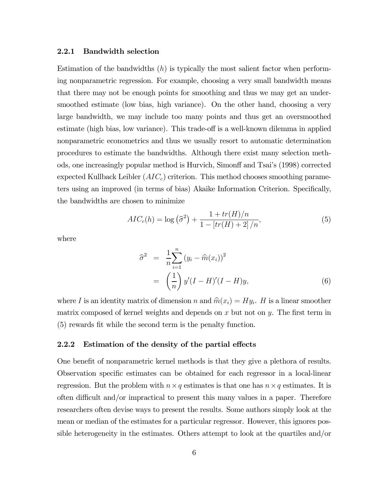#### 2.2.1 Bandwidth selection

Estimation of the bandwidths  $(h)$  is typically the most salient factor when performing nonparametric regression. For example, choosing a very small bandwidth means that there may not be enough points for smoothing and thus we may get an undersmoothed estimate (low bias, high variance). On the other hand, choosing a very large bandwidth, we may include too many points and thus get an oversmoothed estimate (high bias, low variance). This trade-off is a well-known dilemma in applied nonparametric econometrics and thus we usually resort to automatic determination procedures to estimate the bandwidths. Although there exist many selection methods, one increasingly popular method is Hurvich, Simonff and Tsai's (1998) corrected expected Kullback Leibler  $(AIC_c)$  criterion. This method chooses smoothing parameters using an improved (in terms of bias) Akaike Information Criterion. Specifically, the bandwidths are chosen to minimize

$$
AIC_c(h) = \log(\hat{\sigma}^2) + \frac{1 + tr(H)/n}{1 - [tr(H) + 2]/n},
$$
\n(5)

where

$$
\widehat{\sigma}^2 = \frac{1}{n} \sum_{i=1}^n (y_i - \widehat{m}(x_i))^2
$$

$$
= \left(\frac{1}{n}\right) y'(I - H)'(I - H)y,
$$
(6)

where I is an identity matrix of dimension n and  $\hat{m}(x_i) = Hy_i$ . H is a linear smoother matrix composed of kernel weights and depends on  $x$  but not on  $y$ . The first term in (5) rewards fit while the second term is the penalty function.

### 2.2.2 Estimation of the density of the partial effects

One benefit of nonparametric kernel methods is that they give a plethora of results. Observation specific estimates can be obtained for each regressor in a local-linear regression. But the problem with  $n \times q$  estimates is that one has  $n \times q$  estimates. It is often difficult and/or impractical to present this many values in a paper. Therefore researchers often devise ways to present the results. Some authors simply look at the mean or median of the estimates for a particular regressor. However, this ignores possible heterogeneity in the estimates. Others attempt to look at the quartiles and/or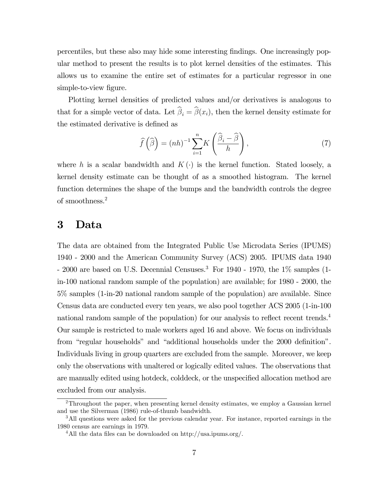percentiles, but these also may hide some interesting findings. One increasingly popular method to present the results is to plot kernel densities of the estimates. This allows us to examine the entire set of estimates for a particular regressor in one simple-to-view figure.

Plotting kernel densities of predicted values and/or derivatives is analogous to that for a simple vector of data. Let  $\beta_i = \beta(x_i)$ , then the kernel density estimate for the estimated derivative is defined as

$$
\widehat{f}\left(\widehat{\beta}\right) = (nh)^{-1} \sum_{i=1}^{n} K\left(\frac{\widehat{\beta}_i - \widehat{\beta}}{h}\right),\tag{7}
$$

where h is a scalar bandwidth and  $K(\cdot)$  is the kernel function. Stated loosely, a kernel density estimate can be thought of as a smoothed histogram. The kernel function determines the shape of the bumps and the bandwidth controls the degree of smoothness.<sup>2</sup>

## 3 Data

The data are obtained from the Integrated Public Use Microdata Series (IPUMS) 1940 - 2000 and the American Community Survey (ACS) 2005. IPUMS data 1940 - 2000 are based on U.S. Decennial Censuses.<sup>3</sup> For 1940 - 1970, the  $1\%$  samples (1in-100 national random sample of the population) are available; for 1980 - 2000, the 5% samples (1-in-20 national random sample of the population) are available. Since Census data are conducted every ten years, we also pool together ACS 2005 (1-in-100 national random sample of the population) for our analysis to reflect recent trends.<sup>4</sup> Our sample is restricted to male workers aged 16 and above. We focus on individuals from "regular households" and "additional households under the 2000 definition". Individuals living in group quarters are excluded from the sample. Moreover, we keep only the observations with unaltered or logically edited values. The observations that are manually edited using hotdeck, colddeck, or the unspecified allocation method are excluded from our analysis.

<sup>2</sup>Throughout the paper, when presenting kernel density estimates, we employ a Gaussian kernel and use the Silverman (1986) rule-of-thumb bandwidth.

<sup>&</sup>lt;sup>3</sup>All questions were asked for the previous calendar year. For instance, reported earnings in the 1980 census are earnings in 1979.

<sup>&</sup>lt;sup>4</sup>All the data files can be downloaded on http://usa.ipums.org/.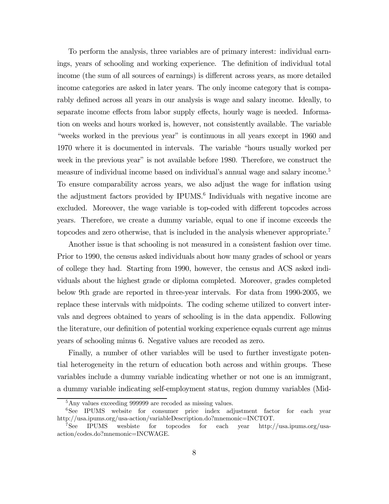To perform the analysis, three variables are of primary interest: individual earnings, years of schooling and working experience. The definition of individual total income (the sum of all sources of earnings) is different across years, as more detailed income categories are asked in later years. The only income category that is comparably defined across all years in our analysis is wage and salary income. Ideally, to separate income effects from labor supply effects, hourly wage is needed. Information on weeks and hours worked is, however, not consistently available. The variable "weeks worked in the previous year" is continuous in all years except in 1960 and 1970 where it is documented in intervals. The variable "hours usually worked per week in the previous year" is not available before 1980. Therefore, we construct the measure of individual income based on individual's annual wage and salary income.<sup>5</sup> To ensure comparability across years, we also adjust the wage for inflation using the adjustment factors provided by IPUMS.<sup>6</sup> Individuals with negative income are excluded. Moreover, the wage variable is top-coded with different topcodes across years. Therefore, we create a dummy variable, equal to one if income exceeds the topcodes and zero otherwise, that is included in the analysis whenever appropriate.<sup>7</sup>

Another issue is that schooling is not measured in a consistent fashion over time. Prior to 1990, the census asked individuals about how many grades of school or years of college they had. Starting from 1990, however, the census and ACS asked individuals about the highest grade or diploma completed. Moreover, grades completed below 9th grade are reported in three-year intervals. For data from 1990-2005, we replace these intervals with midpoints. The coding scheme utilized to convert intervals and degrees obtained to years of schooling is in the data appendix. Following the literature, our definition of potential working experience equals current age minus years of schooling minus 6. Negative values are recoded as zero.

Finally, a number of other variables will be used to further investigate potential heterogeneity in the return of education both across and within groups. These variables include a dummy variable indicating whether or not one is an immigrant, a dummy variable indicating self-employment status, region dummy variables (Mid-

<sup>&</sup>lt;sup>5</sup>Any values exceeding 999999 are recoded as missing values.

<sup>&</sup>lt;sup>6</sup>See IPUMS website for consumer price index adjustment factor for each year http://usa.ipums.org/usa-action/variableDescription.do?mnemonic=INCTOT.

<sup>7</sup>See IPUMS wesbiste for topcodes for each year http://usa.ipums.org/usaaction/codes.do?mnemonic=INCWAGE.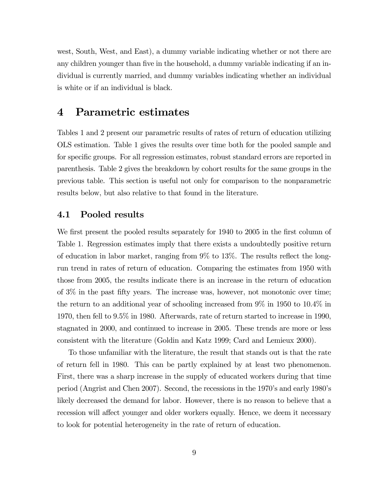west, South, West, and East), a dummy variable indicating whether or not there are any children younger than five in the household, a dummy variable indicating if an individual is currently married, and dummy variables indicating whether an individual is white or if an individual is black.

## 4 Parametric estimates

Tables 1 and 2 present our parametric results of rates of return of education utilizing OLS estimation. Table 1 gives the results over time both for the pooled sample and for specific groups. For all regression estimates, robust standard errors are reported in parenthesis. Table 2 gives the breakdown by cohort results for the same groups in the previous table. This section is useful not only for comparison to the nonparametric results below, but also relative to that found in the literature.

### 4.1 Pooled results

We first present the pooled results separately for 1940 to 2005 in the first column of Table 1. Regression estimates imply that there exists a undoubtedly positive return of education in labor market, ranging from 9% to 13%. The results reflect the longrun trend in rates of return of education. Comparing the estimates from 1950 with those from 2005, the results indicate there is an increase in the return of education of 3% in the past fifty years. The increase was, however, not monotonic over time; the return to an additional year of schooling increased from 9% in 1950 to 10.4% in 1970, then fell to 9.5% in 1980. Afterwards, rate of return started to increase in 1990, stagnated in 2000, and continued to increase in 2005. These trends are more or less consistent with the literature (Goldin and Katz 1999; Card and Lemieux 2000).

To those unfamiliar with the literature, the result that stands out is that the rate of return fell in 1980. This can be partly explained by at least two phenomenon. First, there was a sharp increase in the supply of educated workers during that time period (Angrist and Chen 2007). Second, the recessions in the 1970's and early 1980's likely decreased the demand for labor. However, there is no reason to believe that a recession will affect younger and older workers equally. Hence, we deem it necessary to look for potential heterogeneity in the rate of return of education.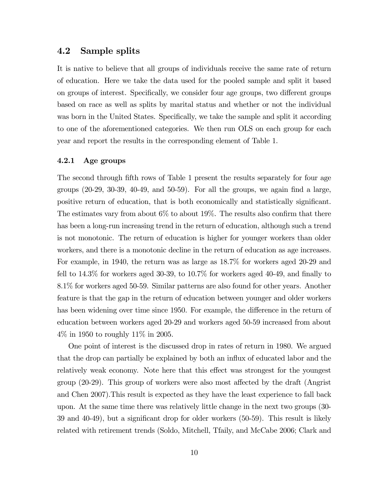## 4.2 Sample splits

It is native to believe that all groups of individuals receive the same rate of return of education. Here we take the data used for the pooled sample and split it based on groups of interest. Specifically, we consider four age groups, two different groups based on race as well as splits by marital status and whether or not the individual was born in the United States. Specifically, we take the sample and split it according to one of the aforementioned categories. We then run OLS on each group for each year and report the results in the corresponding element of Table 1.

### 4.2.1 Age groups

The second through fifth rows of Table 1 present the results separately for four age groups (20-29, 30-39, 40-49, and 50-59). For all the groups, we again find a large, positive return of education, that is both economically and statistically significant. The estimates vary from about 6% to about 19%. The results also confirm that there has been a long-run increasing trend in the return of education, although such a trend is not monotonic. The return of education is higher for younger workers than older workers, and there is a monotonic decline in the return of education as age increases. For example, in 1940, the return was as large as 18.7% for workers aged 20-29 and fell to 14.3% for workers aged 30-39, to 10.7% for workers aged 40-49, and finally to 8.1% for workers aged 50-59. Similar patterns are also found for other years. Another feature is that the gap in the return of education between younger and older workers has been widening over time since 1950. For example, the difference in the return of education between workers aged 20-29 and workers aged 50-59 increased from about 4% in 1950 to roughly 11% in 2005.

One point of interest is the discussed drop in rates of return in 1980. We argued that the drop can partially be explained by both an influx of educated labor and the relatively weak economy. Note here that this effect was strongest for the youngest group (20-29). This group of workers were also most affected by the draft (Angrist and Chen 2007).This result is expected as they have the least experience to fall back upon. At the same time there was relatively little change in the next two groups (30- 39 and 40-49), but a significant drop for older workers (50-59). This result is likely related with retirement trends (Soldo, Mitchell, Tfaily, and McCabe 2006; Clark and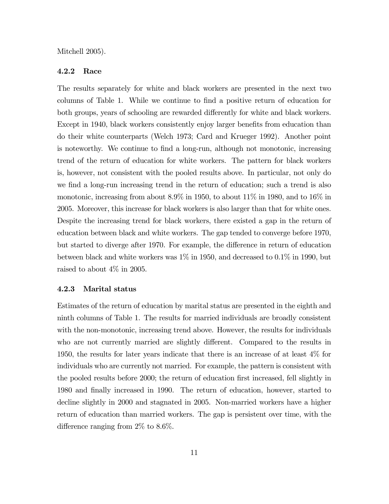Mitchell 2005).

### 4.2.2 Race

The results separately for white and black workers are presented in the next two columns of Table 1. While we continue to find a positive return of education for both groups, years of schooling are rewarded differently for white and black workers. Except in 1940, black workers consistently enjoy larger benefits from education than do their white counterparts (Welch 1973; Card and Krueger 1992). Another point is noteworthy. We continue to find a long-run, although not monotonic, increasing trend of the return of education for white workers. The pattern for black workers is, however, not consistent with the pooled results above. In particular, not only do we find a long-run increasing trend in the return of education; such a trend is also monotonic, increasing from about 8.9% in 1950, to about 11% in 1980, and to 16% in 2005. Moreover, this increase for black workers is also larger than that for white ones. Despite the increasing trend for black workers, there existed a gap in the return of education between black and white workers. The gap tended to converge before 1970, but started to diverge after 1970. For example, the difference in return of education between black and white workers was 1% in 1950, and decreased to 0.1% in 1990, but raised to about 4% in 2005.

### 4.2.3 Marital status

Estimates of the return of education by marital status are presented in the eighth and ninth columns of Table 1. The results for married individuals are broadly consistent with the non-monotonic, increasing trend above. However, the results for individuals who are not currently married are slightly different. Compared to the results in 1950, the results for later years indicate that there is an increase of at least 4% for individuals who are currently not married. For example, the pattern is consistent with the pooled results before 2000; the return of education first increased, fell slightly in 1980 and finally increased in 1990. The return of education, however, started to decline slightly in 2000 and stagnated in 2005. Non-married workers have a higher return of education than married workers. The gap is persistent over time, with the difference ranging from 2% to 8.6%.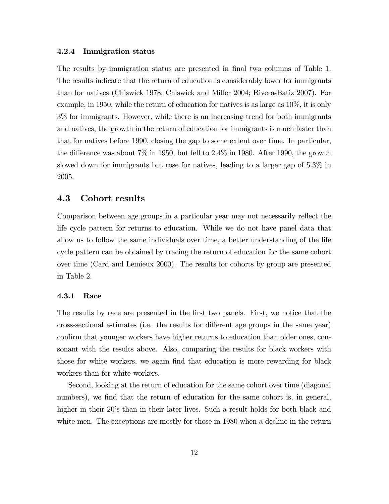### 4.2.4 Immigration status

The results by immigration status are presented in final two columns of Table 1. The results indicate that the return of education is considerably lower for immigrants than for natives (Chiswick 1978; Chiswick and Miller 2004; Rivera-Batiz 2007). For example, in 1950, while the return of education for natives is as large as 10%, it is only 3% for immigrants. However, while there is an increasing trend for both immigrants and natives, the growth in the return of education for immigrants is much faster than that for natives before 1990, closing the gap to some extent over time. In particular, the difference was about 7% in 1950, but fell to 2.4% in 1980. After 1990, the growth slowed down for immigrants but rose for natives, leading to a larger gap of 5.3% in 2005.

### 4.3 Cohort results

Comparison between age groups in a particular year may not necessarily reflect the life cycle pattern for returns to education. While we do not have panel data that allow us to follow the same individuals over time, a better understanding of the life cycle pattern can be obtained by tracing the return of education for the same cohort over time (Card and Lemieux 2000). The results for cohorts by group are presented in Table 2.

### 4.3.1 Race

The results by race are presented in the first two panels. First, we notice that the cross-sectional estimates (i.e. the results for different age groups in the same year) confirm that younger workers have higher returns to education than older ones, consonant with the results above. Also, comparing the results for black workers with those for white workers, we again find that education is more rewarding for black workers than for white workers.

Second, looking at the return of education for the same cohort over time (diagonal numbers), we find that the return of education for the same cohort is, in general, higher in their 20's than in their later lives. Such a result holds for both black and white men. The exceptions are mostly for those in 1980 when a decline in the return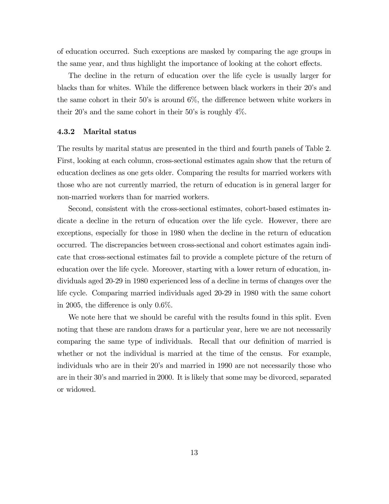of education occurred. Such exceptions are masked by comparing the age groups in the same year, and thus highlight the importance of looking at the cohort effects.

The decline in the return of education over the life cycle is usually larger for blacks than for whites. While the difference between black workers in their 20's and the same cohort in their 50's is around 6%, the difference between white workers in their 20's and the same cohort in their 50's is roughly 4%.

#### 4.3.2 Marital status

The results by marital status are presented in the third and fourth panels of Table 2. First, looking at each column, cross-sectional estimates again show that the return of education declines as one gets older. Comparing the results for married workers with those who are not currently married, the return of education is in general larger for non-married workers than for married workers.

Second, consistent with the cross-sectional estimates, cohort-based estimates indicate a decline in the return of education over the life cycle. However, there are exceptions, especially for those in 1980 when the decline in the return of education occurred. The discrepancies between cross-sectional and cohort estimates again indicate that cross-sectional estimates fail to provide a complete picture of the return of education over the life cycle. Moreover, starting with a lower return of education, individuals aged 20-29 in 1980 experienced less of a decline in terms of changes over the life cycle. Comparing married individuals aged 20-29 in 1980 with the same cohort in 2005, the difference is only 0.6%.

We note here that we should be careful with the results found in this split. Even noting that these are random draws for a particular year, here we are not necessarily comparing the same type of individuals. Recall that our definition of married is whether or not the individual is married at the time of the census. For example, individuals who are in their 20's and married in 1990 are not necessarily those who are in their 30's and married in 2000. It is likely that some may be divorced, separated or widowed.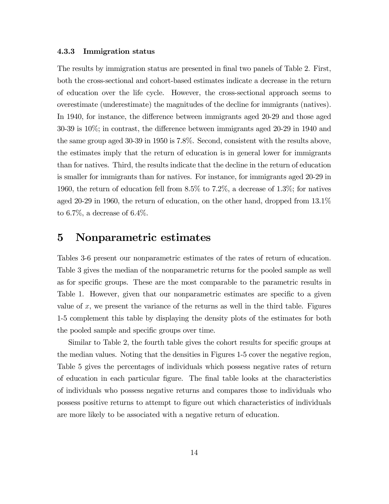### 4.3.3 Immigration status

The results by immigration status are presented in final two panels of Table 2. First, both the cross-sectional and cohort-based estimates indicate a decrease in the return of education over the life cycle. However, the cross-sectional approach seems to overestimate (underestimate) the magnitudes of the decline for immigrants (natives). In 1940, for instance, the difference between immigrants aged 20-29 and those aged 30-39 is 10%; in contrast, the difference between immigrants aged 20-29 in 1940 and the same group aged 30-39 in 1950 is 7.8%. Second, consistent with the results above, the estimates imply that the return of education is in general lower for immigrants than for natives. Third, the results indicate that the decline in the return of education is smaller for immigrants than for natives. For instance, for immigrants aged 20-29 in 1960, the return of education fell from 8.5% to 7.2%, a decrease of 1.3%; for natives aged 20-29 in 1960, the return of education, on the other hand, dropped from 13.1% to 6.7%, a decrease of  $6.4\%$ .

## 5 Nonparametric estimates

Tables 3-6 present our nonparametric estimates of the rates of return of education. Table 3 gives the median of the nonparametric returns for the pooled sample as well as for specific groups. These are the most comparable to the parametric results in Table 1. However, given that our nonparametric estimates are specific to a given value of  $x$ , we present the variance of the returns as well in the third table. Figures 1-5 complement this table by displaying the density plots of the estimates for both the pooled sample and specific groups over time.

Similar to Table 2, the fourth table gives the cohort results for specific groups at the median values. Noting that the densities in Figures 1-5 cover the negative region, Table 5 gives the percentages of individuals which possess negative rates of return of education in each particular figure. The final table looks at the characteristics of individuals who possess negative returns and compares those to individuals who possess positive returns to attempt to figure out which characteristics of individuals are more likely to be associated with a negative return of education.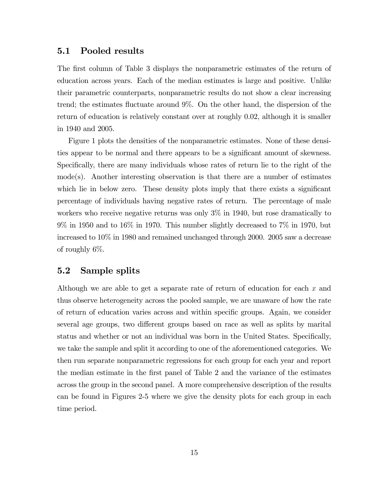### 5.1 Pooled results

The first column of Table 3 displays the nonparametric estimates of the return of education across years. Each of the median estimates is large and positive. Unlike their parametric counterparts, nonparametric results do not show a clear increasing trend; the estimates fluctuate around 9%. On the other hand, the dispersion of the return of education is relatively constant over at roughly 0.02, although it is smaller in 1940 and 2005.

Figure 1 plots the densities of the nonparametric estimates. None of these densities appear to be normal and there appears to be a significant amount of skewness. Specifically, there are many individuals whose rates of return lie to the right of the mode(s). Another interesting observation is that there are a number of estimates which lie in below zero. These density plots imply that there exists a significant percentage of individuals having negative rates of return. The percentage of male workers who receive negative returns was only 3% in 1940, but rose dramatically to 9% in 1950 and to 16% in 1970. This number slightly decreased to 7% in 1970, but increased to 10% in 1980 and remained unchanged through 2000. 2005 saw a decrease of roughly 6%.

## 5.2 Sample splits

Although we are able to get a separate rate of return of education for each  $x$  and thus observe heterogeneity across the pooled sample, we are unaware of how the rate of return of education varies across and within specific groups. Again, we consider several age groups, two different groups based on race as well as splits by marital status and whether or not an individual was born in the United States. Specifically, we take the sample and split it according to one of the aforementioned categories. We then run separate nonparametric regressions for each group for each year and report the median estimate in the first panel of Table 2 and the variance of the estimates across the group in the second panel. A more comprehensive description of the results can be found in Figures 2-5 where we give the density plots for each group in each time period.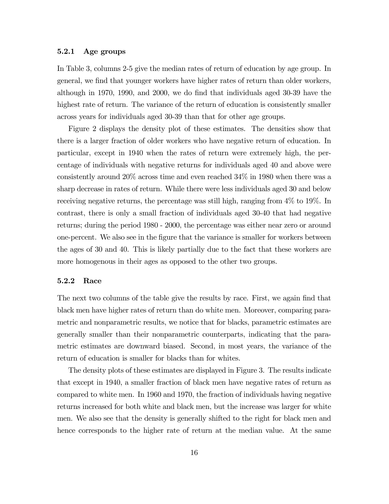### 5.2.1 Age groups

In Table 3, columns 2-5 give the median rates of return of education by age group. In general, we find that younger workers have higher rates of return than older workers, although in 1970, 1990, and 2000, we do find that individuals aged 30-39 have the highest rate of return. The variance of the return of education is consistently smaller across years for individuals aged 30-39 than that for other age groups.

Figure 2 displays the density plot of these estimates. The densities show that there is a larger fraction of older workers who have negative return of education. In particular, except in 1940 when the rates of return were extremely high, the percentage of individuals with negative returns for individuals aged 40 and above were consistently around 20% across time and even reached 34% in 1980 when there was a sharp decrease in rates of return. While there were less individuals aged 30 and below receiving negative returns, the percentage was still high, ranging from 4% to 19%. In contrast, there is only a small fraction of individuals aged 30-40 that had negative returns; during the period 1980 - 2000, the percentage was either near zero or around one-percent. We also see in the figure that the variance is smaller for workers between the ages of 30 and 40. This is likely partially due to the fact that these workers are more homogenous in their ages as opposed to the other two groups.

#### 5.2.2 Race

The next two columns of the table give the results by race. First, we again find that black men have higher rates of return than do white men. Moreover, comparing parametric and nonparametric results, we notice that for blacks, parametric estimates are generally smaller than their nonparametric counterparts, indicating that the parametric estimates are downward biased. Second, in most years, the variance of the return of education is smaller for blacks than for whites.

The density plots of these estimates are displayed in Figure 3. The results indicate that except in 1940, a smaller fraction of black men have negative rates of return as compared to white men. In 1960 and 1970, the fraction of individuals having negative returns increased for both white and black men, but the increase was larger for white men. We also see that the density is generally shifted to the right for black men and hence corresponds to the higher rate of return at the median value. At the same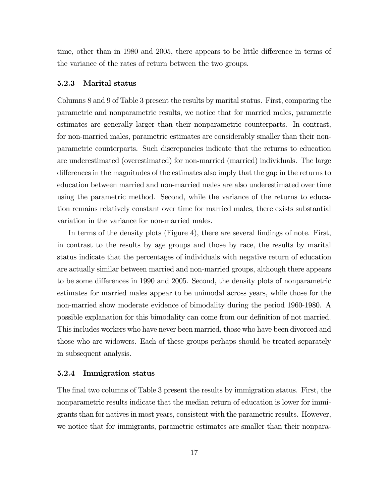time, other than in 1980 and 2005, there appears to be little difference in terms of the variance of the rates of return between the two groups.

### 5.2.3 Marital status

Columns 8 and 9 of Table 3 present the results by marital status. First, comparing the parametric and nonparametric results, we notice that for married males, parametric estimates are generally larger than their nonparametric counterparts. In contrast, for non-married males, parametric estimates are considerably smaller than their nonparametric counterparts. Such discrepancies indicate that the returns to education are underestimated (overestimated) for non-married (married) individuals. The large differences in the magnitudes of the estimates also imply that the gap in the returns to education between married and non-married males are also underestimated over time using the parametric method. Second, while the variance of the returns to education remains relatively constant over time for married males, there exists substantial variation in the variance for non-married males.

In terms of the density plots (Figure 4), there are several findings of note. First, in contrast to the results by age groups and those by race, the results by marital status indicate that the percentages of individuals with negative return of education are actually similar between married and non-married groups, although there appears to be some differences in 1990 and 2005. Second, the density plots of nonparametric estimates for married males appear to be unimodal across years, while those for the non-married show moderate evidence of bimodality during the period 1960-1980. A possible explanation for this bimodality can come from our definition of not married. This includes workers who have never been married, those who have been divorced and those who are widowers. Each of these groups perhaps should be treated separately in subsequent analysis.

#### 5.2.4 Immigration status

The final two columns of Table 3 present the results by immigration status. First, the nonparametric results indicate that the median return of education is lower for immigrants than for natives in most years, consistent with the parametric results. However, we notice that for immigrants, parametric estimates are smaller than their nonpara-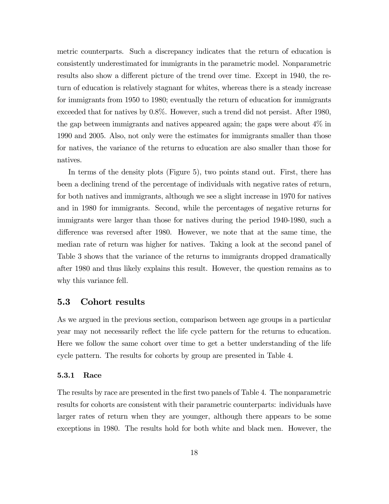metric counterparts. Such a discrepancy indicates that the return of education is consistently underestimated for immigrants in the parametric model. Nonparametric results also show a different picture of the trend over time. Except in 1940, the return of education is relatively stagnant for whites, whereas there is a steady increase for immigrants from 1950 to 1980; eventually the return of education for immigrants exceeded that for natives by 0.8%. However, such a trend did not persist. After 1980, the gap between immigrants and natives appeared again; the gaps were about 4% in 1990 and 2005. Also, not only were the estimates for immigrants smaller than those for natives, the variance of the returns to education are also smaller than those for natives.

In terms of the density plots (Figure 5), two points stand out. First, there has been a declining trend of the percentage of individuals with negative rates of return, for both natives and immigrants, although we see a slight increase in 1970 for natives and in 1980 for immigrants. Second, while the percentages of negative returns for immigrants were larger than those for natives during the period 1940-1980, such a difference was reversed after 1980. However, we note that at the same time, the median rate of return was higher for natives. Taking a look at the second panel of Table 3 shows that the variance of the returns to immigrants dropped dramatically after 1980 and thus likely explains this result. However, the question remains as to why this variance fell.

## 5.3 Cohort results

As we argued in the previous section, comparison between age groups in a particular year may not necessarily reflect the life cycle pattern for the returns to education. Here we follow the same cohort over time to get a better understanding of the life cycle pattern. The results for cohorts by group are presented in Table 4.

### 5.3.1 Race

The results by race are presented in the first two panels of Table 4. The nonparametric results for cohorts are consistent with their parametric counterparts: individuals have larger rates of return when they are younger, although there appears to be some exceptions in 1980. The results hold for both white and black men. However, the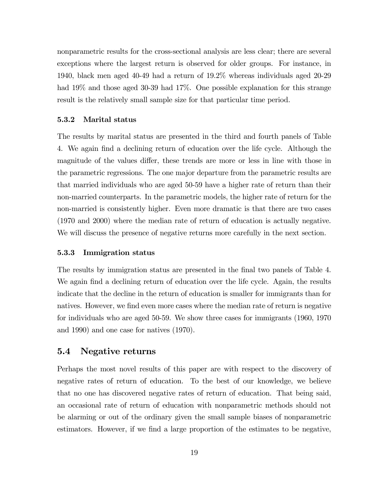nonparametric results for the cross-sectional analysis are less clear; there are several exceptions where the largest return is observed for older groups. For instance, in 1940, black men aged 40-49 had a return of 19.2% whereas individuals aged 20-29 had 19% and those aged 30-39 had 17%. One possible explanation for this strange result is the relatively small sample size for that particular time period.

#### 5.3.2 Marital status

The results by marital status are presented in the third and fourth panels of Table 4. We again find a declining return of education over the life cycle. Although the magnitude of the values differ, these trends are more or less in line with those in the parametric regressions. The one major departure from the parametric results are that married individuals who are aged 50-59 have a higher rate of return than their non-married counterparts. In the parametric models, the higher rate of return for the non-married is consistently higher. Even more dramatic is that there are two cases (1970 and 2000) where the median rate of return of education is actually negative. We will discuss the presence of negative returns more carefully in the next section.

### 5.3.3 Immigration status

The results by immigration status are presented in the final two panels of Table 4. We again find a declining return of education over the life cycle. Again, the results indicate that the decline in the return of education is smaller for immigrants than for natives. However, we find even more cases where the median rate of return is negative for individuals who are aged 50-59. We show three cases for immigrants (1960, 1970 and 1990) and one case for natives (1970).

### 5.4 Negative returns

Perhaps the most novel results of this paper are with respect to the discovery of negative rates of return of education. To the best of our knowledge, we believe that no one has discovered negative rates of return of education. That being said, an occasional rate of return of education with nonparametric methods should not be alarming or out of the ordinary given the small sample biases of nonparametric estimators. However, if we find a large proportion of the estimates to be negative,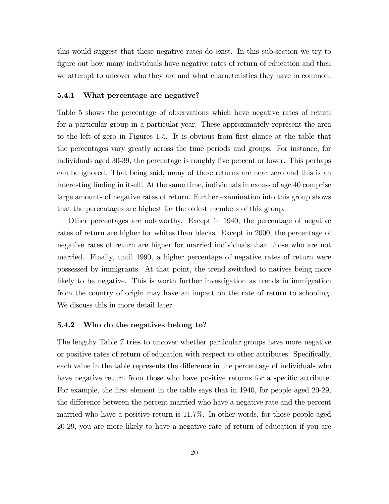this would suggest that these negative rates do exist. In this sub-section we try to figure out how many individuals have negative rates of return of education and then we attempt to uncover who they are and what characteristics they have in common.

#### 5.4.1 What percentage are negative?

Table 5 shows the percentage of observations which have negative rates of return for a particular group in a particular year. These approximately represent the area to the left of zero in Figures 1-5. It is obvious from first glance at the table that the percentages vary greatly across the time periods and groups. For instance, for individuals aged 30-39, the percentage is roughly five percent or lower. This perhaps can be ignored. That being said, many of these returns are near zero and this is an interesting finding in itself. At the same time, individuals in excess of age 40 comprise large amounts of negative rates of return. Further examination into this group shows that the percentages are highest for the oldest members of this group.

Other percentages are noteworthy. Except in 1940, the percentage of negative rates of return are higher for whites than blacks. Except in 2000, the percentage of negative rates of return are higher for married individuals than those who are not married. Finally, until 1990, a higher percentage of negative rates of return were possessed by immigrants. At that point, the trend switched to natives being more likely to be negative. This is worth further investigation as trends in immigration from the country of origin may have an impact on the rate of return to schooling. We discuss this in more detail later.

### 5.4.2 Who do the negatives belong to?

The lengthy Table 7 tries to uncover whether particular groups have more negative or positive rates of return of education with respect to other attributes. Specifically, each value in the table represents the difference in the percentage of individuals who have negative return from those who have positive returns for a specific attribute. For example, the first element in the table says that in 1940, for people aged 20-29, the difference between the percent married who have a negative rate and the percent married who have a positive return is 11.7%. In other words, for those people aged 20-29, you are more likely to have a negative rate of return of education if you are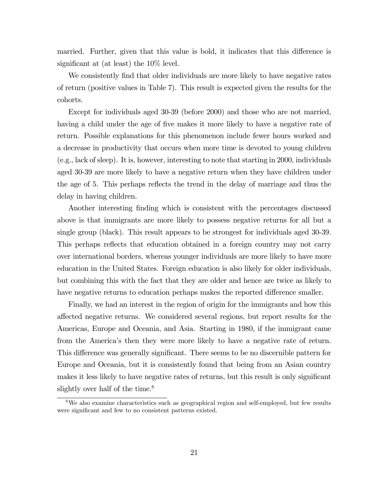married. Further, given that this value is bold, it indicates that this difference is significant at (at least) the 10% level.

We consistently find that older individuals are more likely to have negative rates of return (positive values in Table 7). This result is expected given the results for the cohorts.

Except for individuals aged 30-39 (before 2000) and those who are not married, having a child under the age of five makes it more likely to have a negative rate of return. Possible explanations for this phenomenon include fewer hours worked and a decrease in productivity that occurs when more time is devoted to young children (e.g., lack of sleep). It is, however, interesting to note that starting in 2000, individuals aged 30-39 are more likely to have a negative return when they have children under the age of 5. This perhaps reflects the trend in the delay of marriage and thus the delay in having children.

Another interesting finding which is consistent with the percentages discussed above is that immigrants are more likely to possess negative returns for all but a single group (black). This result appears to be strongest for individuals aged 30-39. This perhaps reflects that education obtained in a foreign country may not carry over international borders, whereas younger individuals are more likely to have more education in the United States. Foreign education is also likely for older individuals, but combining this with the fact that they are older and hence are twice as likely to have negative returns to education perhaps makes the reported difference smaller.

Finally, we had an interest in the region of origin for the immigrants and how this affected negative returns. We considered several regions, but report results for the Americas, Europe and Oceania, and Asia. Starting in 1980, if the immigrant came from the America's then they were more likely to have a negative rate of return. This difference was generally significant. There seems to be no discernible pattern for Europe and Oceania, but it is consistently found that being from an Asian country makes it less likely to have negative rates of returns, but this result is only significant slightly over half of the time.<sup>8</sup>

<sup>&</sup>lt;sup>8</sup>We also examine characteristics such as geographical region and self-employed, but few results were significant and few to no consistent patterns existed.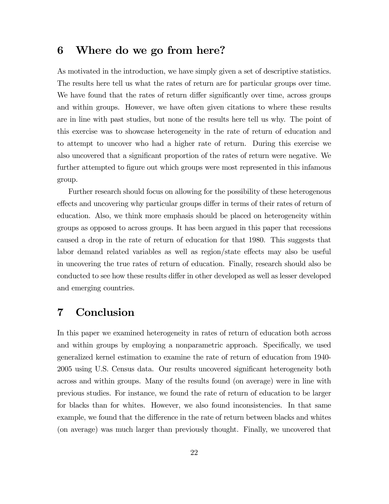## 6 Where do we go from here?

As motivated in the introduction, we have simply given a set of descriptive statistics. The results here tell us what the rates of return are for particular groups over time. We have found that the rates of return differ significantly over time, across groups and within groups. However, we have often given citations to where these results are in line with past studies, but none of the results here tell us why. The point of this exercise was to showcase heterogeneity in the rate of return of education and to attempt to uncover who had a higher rate of return. During this exercise we also uncovered that a significant proportion of the rates of return were negative. We further attempted to figure out which groups were most represented in this infamous group.

Further research should focus on allowing for the possibility of these heterogenous effects and uncovering why particular groups differ in terms of their rates of return of education. Also, we think more emphasis should be placed on heterogeneity within groups as opposed to across groups. It has been argued in this paper that recessions caused a drop in the rate of return of education for that 1980. This suggests that labor demand related variables as well as region/state effects may also be useful in uncovering the true rates of return of education. Finally, research should also be conducted to see how these results differ in other developed as well as lesser developed and emerging countries.

## 7 Conclusion

In this paper we examined heterogeneity in rates of return of education both across and within groups by employing a nonparametric approach. Specifically, we used generalized kernel estimation to examine the rate of return of education from 1940- 2005 using U.S. Census data. Our results uncovered significant heterogeneity both across and within groups. Many of the results found (on average) were in line with previous studies. For instance, we found the rate of return of education to be larger for blacks than for whites. However, we also found inconsistencies. In that same example, we found that the difference in the rate of return between blacks and whites (on average) was much larger than previously thought. Finally, we uncovered that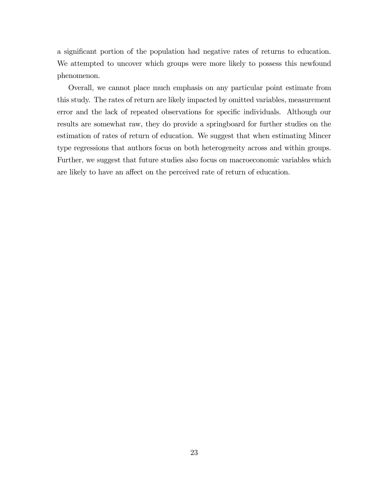a significant portion of the population had negative rates of returns to education. We attempted to uncover which groups were more likely to possess this newfound phenomenon.

Overall, we cannot place much emphasis on any particular point estimate from this study. The rates of return are likely impacted by omitted variables, measurement error and the lack of repeated observations for specific individuals. Although our results are somewhat raw, they do provide a springboard for further studies on the estimation of rates of return of education. We suggest that when estimating Mincer type regressions that authors focus on both heterogeneity across and within groups. Further, we suggest that future studies also focus on macroeconomic variables which are likely to have an affect on the perceived rate of return of education.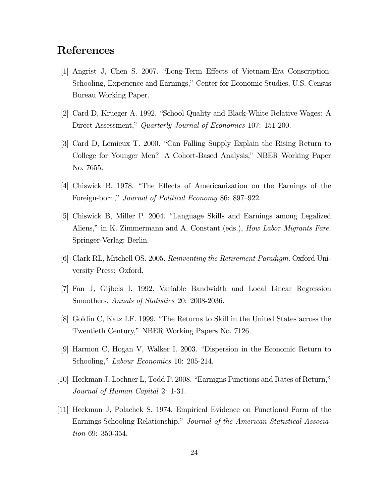## References

- [1] Angrist J, Chen S. 2007. "Long-Term Effects of Vietnam-Era Conscription: Schooling, Experience and Earnings," Center for Economic Studies, U.S. Census Bureau Working Paper.
- [2] Card D, Krueger A. 1992. "School Quality and Black-White Relative Wages: A Direct Assessment," Quarterly Journal of Economics 107: 151-200.
- [3] Card D, Lemieux T. 2000. "Can Falling Supply Explain the Rising Return to College for Younger Men? A Cohort-Based Analysis," NBER Working Paper No. 7655.
- [4] Chiswick B. 1978. "The Effects of Americanization on the Earnings of the Foreign-born," Journal of Political Economy 86: 897—922.
- [5] Chiswick B, Miller P. 2004. "Language Skills and Earnings among Legalized Aliens," in K. Zimmermann and A. Constant (eds.), *How Labor Migrants Fare.* Springer-Verlag: Berlin.
- [6] Clark RL, Mitchell OS. 2005. Reinventing the Retirement Paradigm. Oxford University Press: Oxford.
- [7] Fan J, Gijbels I. 1992. Variable Bandwidth and Local Linear Regression Smoothers. Annals of Statistics 20: 2008-2036.
- [8] Goldin C, Katz LF. 1999. "The Returns to Skill in the United States across the Twentieth Century," NBER Working Papers No. 7126.
- [9] Harmon C, Hogan V, Walker I. 2003. "Dispersion in the Economic Return to Schooling," *Labour Economics* 10: 205-214.
- [10] Heckman J, Lochner L, Todd P. 2008. "Earnigns Functions and Rates of Return," Journal of Human Capital 2: 1-31.
- [11] Heckman J, Polachek S. 1974. Empirical Evidence on Functional Form of the Earnings-Schooling Relationship," Journal of the American Statistical Association 69: 350-354.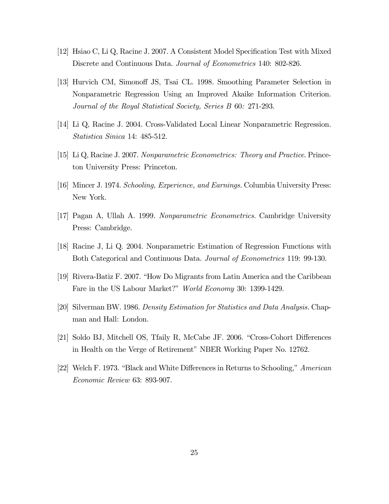- [12] Hsiao C, Li Q, Racine J. 2007. A Consistent Model Specification Test with Mixed Discrete and Continuous Data. Journal of Econometrics 140: 802-826.
- [13] Hurvich CM, Simonoff JS, Tsai CL. 1998. Smoothing Parameter Selection in Nonparametric Regression Using an Improved Akaike Information Criterion. Journal of the Royal Statistical Society, Series B 60: 271-293.
- [14] Li Q, Racine J. 2004. Cross-Validated Local Linear Nonparametric Regression. Statistica Sinica 14: 485-512.
- [15] Li Q, Racine J. 2007. Nonparametric Econometrics: Theory and Practice. Princeton University Press: Princeton.
- [16] Mincer J. 1974. Schooling, Experience, and Earnings. Columbia University Press: New York.
- [17] Pagan A, Ullah A. 1999. Nonparametric Econometrics. Cambridge University Press: Cambridge.
- [18] Racine J, Li Q. 2004. Nonparametric Estimation of Regression Functions with Both Categorical and Continuous Data. Journal of Econometrics 119: 99-130.
- [19] Rivera-Batiz F. 2007. "How Do Migrants from Latin America and the Caribbean Fare in the US Labour Market?" World Economy 30: 1399-1429.
- [20] Silverman BW. 1986. Density Estimation for Statistics and Data Analysis. Chapman and Hall: London.
- [21] Soldo BJ, Mitchell OS, Tfaily R, McCabe JF. 2006. "Cross-Cohort Differences in Health on the Verge of Retirement" NBER Working Paper No. 12762.
- [22] Welch F. 1973. "Black and White Differences in Returns to Schooling," American Economic Review 63: 893-907.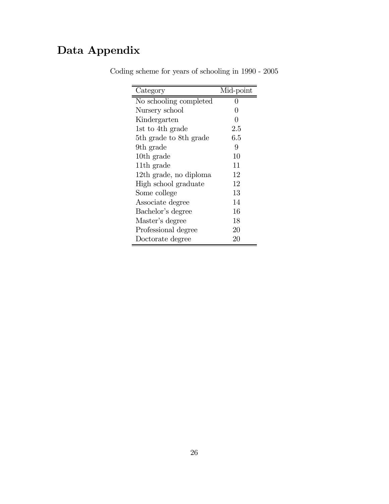# Data Appendix

| Category               | Mid-point |
|------------------------|-----------|
| No schooling completed |           |
| Nursery school         | 0         |
| Kindergarten           | 0         |
| 1st to 4th grade       | 2.5       |
| 5th grade to 8th grade | 6.5       |
| 9th grade              | 9         |
| 10th grade             | 10        |
| 11 <sup>th</sup> grade | 11        |
| 12th grade, no diploma | 12        |
| High school graduate   | 12        |
| Some college           | 13        |
| Associate degree       | 14        |
| Bachelor's degree      | 16        |
| Master's degree        | 18        |
| Professional degree    | 20        |
| Doctorate degree       | 20        |

Coding scheme for years of schooling in 1990 - 2005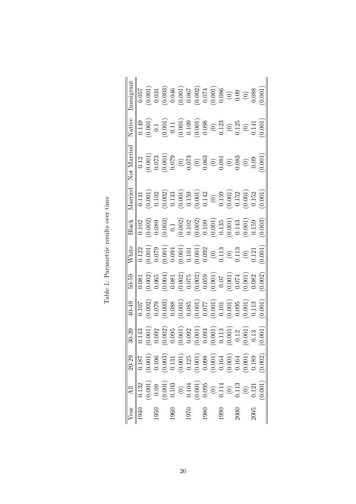| ear | $20 - 29$                                                                                                                                                                                                                                                                                                            | $30 - 39$                                                                                               | $40 - 49$                                                                                                                                                                             | $50 - 59$                                                                                                                                                                                                                                                                                            | $N$ hite                                                                                                                                                                                                                                                                                      | Black                                                                                                                                                                                                                                                                                                                  | Iarriec                                                                                                                                                                                                                                                                                    | Not Marrie                                                                                          | Vative                                                                                                                                                                                                                                                                                                                |                                                                                                                                                                                                                                                                                                                     |
|-----|----------------------------------------------------------------------------------------------------------------------------------------------------------------------------------------------------------------------------------------------------------------------------------------------------------------------|---------------------------------------------------------------------------------------------------------|---------------------------------------------------------------------------------------------------------------------------------------------------------------------------------------|------------------------------------------------------------------------------------------------------------------------------------------------------------------------------------------------------------------------------------------------------------------------------------------------------|-----------------------------------------------------------------------------------------------------------------------------------------------------------------------------------------------------------------------------------------------------------------------------------------------|------------------------------------------------------------------------------------------------------------------------------------------------------------------------------------------------------------------------------------------------------------------------------------------------------------------------|--------------------------------------------------------------------------------------------------------------------------------------------------------------------------------------------------------------------------------------------------------------------------------------------|-----------------------------------------------------------------------------------------------------|-----------------------------------------------------------------------------------------------------------------------------------------------------------------------------------------------------------------------------------------------------------------------------------------------------------------------|---------------------------------------------------------------------------------------------------------------------------------------------------------------------------------------------------------------------------------------------------------------------------------------------------------------------|
|     | $\overline{0.187}$                                                                                                                                                                                                                                                                                                   | $\overline{0.143}$                                                                                      | $\frac{107}{107}$                                                                                                                                                                     | $\overline{0.081}$                                                                                                                                                                                                                                                                                   |                                                                                                                                                                                                                                                                                               | $\frac{102}{2}$                                                                                                                                                                                                                                                                                                        | 0.141                                                                                                                                                                                                                                                                                      | $\overline{0.12}$                                                                                   | 0.149                                                                                                                                                                                                                                                                                                                 | 1.057                                                                                                                                                                                                                                                                                                               |
|     |                                                                                                                                                                                                                                                                                                                      | $0.001$<br>0.092                                                                                        |                                                                                                                                                                                       |                                                                                                                                                                                                                                                                                                      |                                                                                                                                                                                                                                                                                               |                                                                                                                                                                                                                                                                                                                        |                                                                                                                                                                                                                                                                                            |                                                                                                     |                                                                                                                                                                                                                                                                                                                       |                                                                                                                                                                                                                                                                                                                     |
|     |                                                                                                                                                                                                                                                                                                                      |                                                                                                         |                                                                                                                                                                                       |                                                                                                                                                                                                                                                                                                      |                                                                                                                                                                                                                                                                                               |                                                                                                                                                                                                                                                                                                                        |                                                                                                                                                                                                                                                                                            |                                                                                                     |                                                                                                                                                                                                                                                                                                                       |                                                                                                                                                                                                                                                                                                                     |
|     |                                                                                                                                                                                                                                                                                                                      | 0.002)                                                                                                  |                                                                                                                                                                                       |                                                                                                                                                                                                                                                                                                      |                                                                                                                                                                                                                                                                                               |                                                                                                                                                                                                                                                                                                                        |                                                                                                                                                                                                                                                                                            |                                                                                                     |                                                                                                                                                                                                                                                                                                                       |                                                                                                                                                                                                                                                                                                                     |
|     |                                                                                                                                                                                                                                                                                                                      | 0.095                                                                                                   |                                                                                                                                                                                       |                                                                                                                                                                                                                                                                                                      |                                                                                                                                                                                                                                                                                               |                                                                                                                                                                                                                                                                                                                        |                                                                                                                                                                                                                                                                                            |                                                                                                     |                                                                                                                                                                                                                                                                                                                       |                                                                                                                                                                                                                                                                                                                     |
|     |                                                                                                                                                                                                                                                                                                                      | $\begin{array}{c} (0.001) \\ 0.092 \\ 0.001) \\ 0.003 \\ 0.001) \\ 0.011 \\ 0.113 \\ 0.113 \end{array}$ | $\begin{array}{c} (0.002) \\ 0.079 \\ 0.003) \\ (0.003) \\ (0.001) \\ (0.001) \\ (0.001) \\ (0.011) \\ (0.011) \\ (0.001) \\ (0.001) \\ (0.001) \\ (0.005) \\ (0.005) \\ \end{array}$ | $\begin{array}{l} (0.002) \\ 0.065 \\ 0.064 \\ 0.004 \\ 0.002 \\ 0.002 \\ 0.002 \\ 0.001 \\ 0.001 \\ 0.001 \\ 0.001 \\ 0.001 \\ 0.001 \\ 0.001 \\ 0.002 \\ 0.002 \\ 0.003 \\ 0.002 \\ 0.003 \\ 0.003 \\ 0.003 \\ 0.003 \\ 0.003 \\ 0.003 \\ 0.003 \\ 0.003 \\ 0.003 \\ 0.003 \\ 0.003 \\ 0.003 \\ 0$ | $\begin{array}{r} 0.122 \\ 0.001 \\ 0.0001 \\ 0.0001 \\ 0.0011 \\ 0.0011 \\ 0.0011 \\ 0.0011 \\ 0.0011 \\ 0.0022 \\ 0.0022 \\ 0.013 \\ 0.0113 \\ 0.0113 \\ 0.0113 \\ 0.0113 \\ 0.0113 \\ 0.0113 \\ 0.0113 \\ 0.0113 \\ 0.0113 \\ 0.0113 \\ 0.0113 \\ 0.0113 \\ 0.0113 \\ 0.0113 \\ 0.0113 \\$ | $\begin{array}{c} (0.002) \\ (0.089) \\ (0.003) \\ (0.002) \\ (0.002) \\ (0.002) \\ (0.001) \\ (0.001) \\ (0.001) \\ (0.001) \\ (0.001) \\ (0.001) \\ (0.003) \\ (0.003) \\ (0.003) \\ (0.003) \\ (0.003) \\ (0.003) \\ (0.003) \\ (0.003) \\ (0.003) \\ (0.003) \\ (0.003) \\ (0.003) \\ (0.003) \\ (0.003) \\ (0.00$ | $\begin{array}{l} (0.001)\\ 0.102\\ 0.002)\\ (0.001)\\ (0.001)\\ (0.001)\\ (0.001)\\ (0.142)\\ (0.142)\\ (0.001)\\ (0.001)\\ (0.001)\\ (0.001)\\ (0.001)\\ (0.001)\\ (0.001)\\ (0.001)\\ (0.001)\\ (0.001)\\ (0.001)\\ (0.001)\\ (0.001)\\ (0.001)\\ (0.001)\\ (0.001)\\ (0.001)\\ (0.001$ | $\begin{array}{c} 0.001\\0.073\\0.001\\0.079\\0.073\\0.073\\0.060\\0.060\\0.083\\0.083 \end{array}$ | $\begin{array}{c} (0.001) \\ 0.11 \\ (0.001) \\ (0.001) \\ (0.0001) \\ (0.001) \\ (0.001) \\ (0.001) \\ (0.001) \\ (0.012) \\ (0.125) \\ (0.011) \\ (0.001) \\ (0.001) \\ (0.001) \\ (0.001) \\ (0.001) \\ (0.001) \\ (0.001) \\ (0.001) \\ (0.001) \\ (0.001) \\ (0.001) \\ (0.001) \\ (0.001) \\ (0.001) \\ (0.001$ | $\begin{array}{l} (0.001) \\ 0.031 \\ 0.046 \\ 0.007) \\ (0.001) \\ (0.002) \\ (0.001) \\ (0.002) \\ (0.001) \\ (0.001) \\ (0.003) \\ (0.003) \\ (0.000) \\ (0.001) \\ (0.001) \\ (0.001) \\ (0.001) \\ (0.001) \\ (0.001) \\ (0.001) \\ (0.001) \\ (0.001) \\ (0.001) \\ (0.001) \\ (0.001) \\ (0.001) \\ (0.001)$ |
|     |                                                                                                                                                                                                                                                                                                                      |                                                                                                         |                                                                                                                                                                                       |                                                                                                                                                                                                                                                                                                      |                                                                                                                                                                                                                                                                                               |                                                                                                                                                                                                                                                                                                                        |                                                                                                                                                                                                                                                                                            |                                                                                                     |                                                                                                                                                                                                                                                                                                                       |                                                                                                                                                                                                                                                                                                                     |
|     |                                                                                                                                                                                                                                                                                                                      |                                                                                                         |                                                                                                                                                                                       |                                                                                                                                                                                                                                                                                                      |                                                                                                                                                                                                                                                                                               |                                                                                                                                                                                                                                                                                                                        |                                                                                                                                                                                                                                                                                            |                                                                                                     |                                                                                                                                                                                                                                                                                                                       |                                                                                                                                                                                                                                                                                                                     |
|     |                                                                                                                                                                                                                                                                                                                      |                                                                                                         |                                                                                                                                                                                       |                                                                                                                                                                                                                                                                                                      |                                                                                                                                                                                                                                                                                               |                                                                                                                                                                                                                                                                                                                        |                                                                                                                                                                                                                                                                                            |                                                                                                     |                                                                                                                                                                                                                                                                                                                       |                                                                                                                                                                                                                                                                                                                     |
|     |                                                                                                                                                                                                                                                                                                                      |                                                                                                         |                                                                                                                                                                                       |                                                                                                                                                                                                                                                                                                      |                                                                                                                                                                                                                                                                                               |                                                                                                                                                                                                                                                                                                                        |                                                                                                                                                                                                                                                                                            |                                                                                                     |                                                                                                                                                                                                                                                                                                                       |                                                                                                                                                                                                                                                                                                                     |
|     |                                                                                                                                                                                                                                                                                                                      |                                                                                                         |                                                                                                                                                                                       |                                                                                                                                                                                                                                                                                                      |                                                                                                                                                                                                                                                                                               |                                                                                                                                                                                                                                                                                                                        |                                                                                                                                                                                                                                                                                            |                                                                                                     |                                                                                                                                                                                                                                                                                                                       |                                                                                                                                                                                                                                                                                                                     |
|     |                                                                                                                                                                                                                                                                                                                      |                                                                                                         |                                                                                                                                                                                       |                                                                                                                                                                                                                                                                                                      |                                                                                                                                                                                                                                                                                               |                                                                                                                                                                                                                                                                                                                        |                                                                                                                                                                                                                                                                                            |                                                                                                     |                                                                                                                                                                                                                                                                                                                       |                                                                                                                                                                                                                                                                                                                     |
|     |                                                                                                                                                                                                                                                                                                                      | 0.12                                                                                                    |                                                                                                                                                                                       |                                                                                                                                                                                                                                                                                                      |                                                                                                                                                                                                                                                                                               |                                                                                                                                                                                                                                                                                                                        |                                                                                                                                                                                                                                                                                            |                                                                                                     |                                                                                                                                                                                                                                                                                                                       |                                                                                                                                                                                                                                                                                                                     |
|     |                                                                                                                                                                                                                                                                                                                      | 0.001                                                                                                   | $\begin{array}{c} 0.001 \ 0.113 \ 0.001 \end{array}$                                                                                                                                  |                                                                                                                                                                                                                                                                                                      |                                                                                                                                                                                                                                                                                               |                                                                                                                                                                                                                                                                                                                        |                                                                                                                                                                                                                                                                                            | $\begin{array}{c} 0.09 \\ 0.09 \end{array}$                                                         |                                                                                                                                                                                                                                                                                                                       |                                                                                                                                                                                                                                                                                                                     |
|     |                                                                                                                                                                                                                                                                                                                      | 0.13                                                                                                    |                                                                                                                                                                                       |                                                                                                                                                                                                                                                                                                      |                                                                                                                                                                                                                                                                                               |                                                                                                                                                                                                                                                                                                                        |                                                                                                                                                                                                                                                                                            |                                                                                                     |                                                                                                                                                                                                                                                                                                                       |                                                                                                                                                                                                                                                                                                                     |
|     | $\begin{array}{c} (0.001) \\ 0.106 \\ 0.003) \\ (0.001) \\ (0.011) \\ (0.001) \\ (0.001) \\ (0.001) \\ (0.001) \\ (0.001) \\ (0.001) \\ (0.001) \\ (0.002) \\ (0.002) \\ (0.002) \\ (0.003) \\ (0.002) \\ (0.003) \\ (0.004) \\ (0.005) \\ (0.001) \\ (0.003) \\ (0.004) \\ (0.005) \\ (0.007) \\ (0.008) \\ (0.008$ | 0.001                                                                                                   |                                                                                                                                                                                       | $0.002^{^{\circ}}$                                                                                                                                                                                                                                                                                   |                                                                                                                                                                                                                                                                                               |                                                                                                                                                                                                                                                                                                                        |                                                                                                                                                                                                                                                                                            | $0.001\,$                                                                                           |                                                                                                                                                                                                                                                                                                                       |                                                                                                                                                                                                                                                                                                                     |

Table 1: Parametric results over time  $\,$ Table 1: Parametric results over time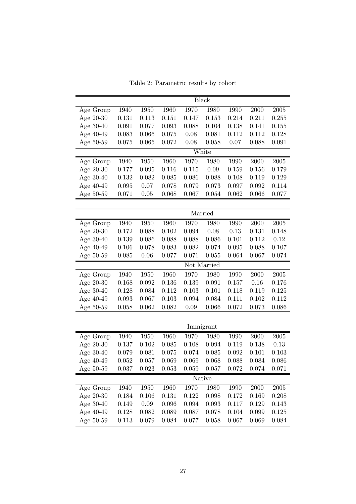Table 2: Parametric results by cohort

|             |       |       |       |       | Black       |       |       |            |
|-------------|-------|-------|-------|-------|-------------|-------|-------|------------|
| Age Group   | 1940  | 1950  | 1960  | 1970  | 1980        | 1990  | 2000  | $\,2005\,$ |
| Age 20-30   | 0.131 | 0.113 | 0.151 | 0.147 | 0.153       | 0.214 | 0.211 | 0.255      |
| Age 30-40   | 0.091 | 0.077 | 0.093 | 0.088 | 0.104       | 0.138 | 0.141 | 0.155      |
| Age 40-49   | 0.083 | 0.066 | 0.075 | 0.08  | 0.081       | 0.112 | 0.112 | 0.128      |
| Age 50-59   | 0.075 | 0.065 | 0.072 | 0.08  | 0.058       | 0.07  | 0.088 | 0.091      |
|             |       |       |       |       | White       |       |       |            |
| Age Group   | 1940  | 1950  | 1960  | 1970  | 1980        | 1990  | 2000  | 2005       |
| Age $20-30$ | 0.177 | 0.095 | 0.116 | 0.115 | 0.09        | 0.159 | 0.156 | 0.179      |
| Age 30-40   | 0.132 | 0.082 | 0.085 | 0.086 | 0.088       | 0.108 | 0.119 | 0.129      |
| Age 40-49   | 0.095 | 0.07  | 0.078 | 0.079 | 0.073       | 0.097 | 0.092 | 0.114      |
| Age 50-59   | 0.071 | 0.05  | 0.068 | 0.067 | 0.054       | 0.062 | 0.066 | 0.077      |
|             |       |       |       |       |             |       |       |            |
|             |       |       |       |       | Married     |       |       |            |
| Age Group   | 1940  | 1950  | 1960  | 1970  | 1980        | 1990  | 2000  | 2005       |
| Age 20-30   | 0.172 | 0.088 | 0.102 | 0.094 | 0.08        | 0.13  | 0.131 | 0.148      |
| Age 30-40   | 0.139 | 0.086 | 0.088 | 0.088 | 0.086       | 0.101 | 0.112 | 0.12       |
| Age 40-49   | 0.106 | 0.078 | 0.083 | 0.082 | 0.074       | 0.095 | 0.088 | 0.107      |
| Age 50-59   | 0.085 | 0.06  | 0.077 | 0.071 | 0.055       | 0.064 | 0.067 | 0.074      |
|             |       |       |       |       | Not Married |       |       |            |
| Age Group   | 1940  | 1950  | 1960  | 1970  | 1980        | 1990  | 2000  | 2005       |
| Age 20-30   | 0.168 | 0.092 | 0.136 | 0.139 | 0.091       | 0.157 | 0.16  | 0.176      |
| Age 30-40   | 0.128 | 0.084 | 0.112 | 0.103 | 0.101       | 0.118 | 0.119 | 0.125      |
| Age 40-49   | 0.093 | 0.067 | 0.103 | 0.094 | 0.084       | 0.111 | 0.102 | 0.112      |
| Age 50-59   | 0.058 | 0.062 | 0.082 | 0.09  | 0.066       | 0.072 | 0.073 | 0.086      |
|             |       |       |       |       |             |       |       |            |
|             |       |       |       |       | Immigrant   |       |       |            |
| Age Group   | 1940  | 1950  | 1960  | 1970  | 1980        | 1990  | 2000  | 2005       |
| Age 20-30   | 0.137 | 0.102 | 0.085 | 0.108 | 0.094       | 0.119 | 0.138 | 0.13       |
| Age 30-40   | 0.079 | 0.081 | 0.075 | 0.074 | 0.085       | 0.092 | 0.101 | 0.103      |
| Age 40-49   | 0.052 | 0.057 | 0.069 | 0.069 | 0.068       | 0.088 | 0.084 | 0.086      |
| Age 50-59   | 0.037 | 0.023 | 0.053 | 0.059 | 0.057       | 0.072 | 0.074 | 0.071      |
|             |       |       |       |       | Native      |       |       |            |
| Age Group   | 1940  | 1950  | 1960  | 1970  | 1980        | 1990  | 2000  | 2005       |
| Age $20-30$ | 0.184 | 0.106 | 0.131 | 0.122 | 0.098       | 0.172 | 0.169 | 0.208      |
| Age 30-40   | 0.149 | 0.09  | 0.096 | 0.094 | 0.093       | 0.117 | 0.129 | 0.143      |
| Age 40-49   | 0.128 | 0.082 | 0.089 | 0.087 | 0.078       | 0.104 | 0.099 | 0.125      |
| Age 50-59   | 0.113 | 0.079 | 0.084 | 0.077 | 0.058       | 0.067 | 0.069 | 0.084      |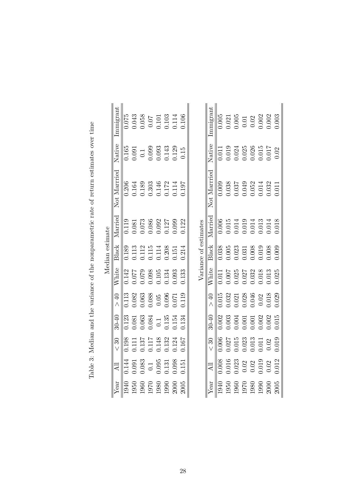|                                                                                          |                 | lmmigrant                   | 0.075 |       |                    | 0.043<br>0.058<br>0.07<br>0.101<br>0.114<br>0.114                                 |                    |                |       |        |                       | Immigrant                   | 0.005 |                                                        | $\begin{array}{c} 0.021 \\ 0.005 \\ 0.01 \\ 0.02 \\ 0.002 \\ 0.002 \\ 0.002 \\ 0.002 \\ 0.002 \\ \end{array}$ |       |                                                                          |       |       | 0.003 |
|------------------------------------------------------------------------------------------|-----------------|-----------------------------|-------|-------|--------------------|-----------------------------------------------------------------------------------|--------------------|----------------|-------|--------|-----------------------|-----------------------------|-------|--------------------------------------------------------|---------------------------------------------------------------------------------------------------------------|-------|--------------------------------------------------------------------------|-------|-------|-------|
|                                                                                          |                 | Native                      | 0.165 | 0.091 |                    | $\begin{array}{c} 0.1 \\ 0.099 \\ 0.093 \\ 0.143 \\ 0.143 \\ 0.129 \end{array}$   |                    |                |       | 0.15   |                       | Native                      | 0.011 |                                                        | $\begin{array}{c} 0.019 \\ 0.024 \\ 0.025 \\ 0.015 \\ 0.015 \\ 0.015 \\ 0.017 \\ \end{array}$                 |       |                                                                          |       |       | 0.02  |
| Table 3: Median and the variance of the nonparametric rate of return estimates over time |                 | Not Married                 | 0.206 |       |                    | $\begin{array}{c} 0.164 \\ 0.189 \\ 0.303 \end{array}$                            | $0.146$<br>$0.172$ |                | 0.114 | 197    |                       | Not Married                 | 0.009 |                                                        | $\begin{array}{c} 0.038 \\ 0.037 \\ 0.049 \\ 0.052 \\ 0.052 \end{array}$                                      |       |                                                                          |       | 0.32  | 0.011 |
|                                                                                          |                 | Married                     | 0.119 |       |                    | $\begin{array}{c} 0.081 \\ 0.073 \\ 0.086 \\ 0.092 \end{array}$                   |                    | 0.127          |       | 0.122  |                       | Married                     | 0.006 | 0.015                                                  | 0.14                                                                                                          |       | $\begin{array}{c} 0.019 \\ 0.014 \\ 0.013 \\ 0.013 \end{array}$          |       |       | 0.018 |
|                                                                                          | Median estimate | <b>Black</b>                |       |       |                    | $\begin{array}{c} 0.189 \\ 0.113 \\ 0.112 \\ 0.115 \\ 0.115 \\ 0.114 \end{array}$ |                    | 0.208          | 1.151 | 0.214  | Variance of estimates | Black                       | 0.038 | 0.005                                                  | 023                                                                                                           | 0.31  | 0.008                                                                    | 0.019 |       | 0.009 |
|                                                                                          |                 | White                       | 0.142 |       |                    | 3.077<br>0.079<br>0.088<br>3.015                                                  |                    | 0.134          | 0.93  | 1.33   |                       | White                       | 0.011 | 1007                                                   | 0.25                                                                                                          | 0.27  | 0.32                                                                     | 0.018 | 0.013 | 0.25  |
|                                                                                          |                 | 0                           | 0.113 | 0.082 | 0.063              |                                                                                   | 0.05               | 0.096          | 1.071 | 0.119  |                       | 0                           | 0.015 | 0.32                                                   | 0.21                                                                                                          | 0.028 |                                                                          | 0.02  | 0.018 | 0.029 |
|                                                                                          |                 | $30 - 40$                   |       |       |                    | $\begin{array}{c} 0.123 \\ 0.081 \\ 0.063 \\ 0.063 \\ \end{array}$                |                    | 0.135<br>0.154 |       | 0.134  |                       | $30 - 40$                   |       | $\begin{array}{c} 0.002 \\ 0.003 \\ 0.004 \end{array}$ |                                                                                                               |       | $\begin{array}{c} 0.001 \\ 0.001 \\ 0.002 \\ 0.002 \\ 0.002 \end{array}$ |       |       | 0.015 |
|                                                                                          |                 | $\mathcal{S}^{\mathcal{C}}$ | 0.198 | 0.111 |                    | 137<br>1117<br>11148                                                              |                    | 1.32           | 124   | 167    |                       | $\mathcal{S}^{\mathcal{C}}$ | 0.006 | 0.27                                                   | 0.015                                                                                                         |       | 0.023<br>0.013<br>0.011                                                  |       | 0.02  | 0.019 |
|                                                                                          |                 | Дl                          | 0.144 |       | $0.091$<br>$0.083$ | $0.1\,$                                                                           | 0.095              | 0.131          | 0.098 | $-151$ |                       | AЦ                          | 0.008 | 0.016                                                  | 0.23                                                                                                          | 0.02  | 0.02                                                                     | 0.019 | 0.02  | 0.012 |
|                                                                                          |                 | Year                        | 1940  | 1950  | 1960               | 1970                                                                              | 1980               | 1990<br>2000   |       | 2005   |                       | Year                        | 1940  | 1950                                                   | 1960                                                                                                          | 1970  | 1980                                                                     | 1990  | 2000  | 2005  |

Table 3: Median and the variance of the nonparametric rate of return estimates over time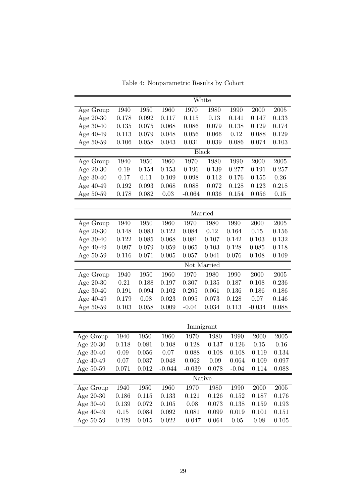|           |                                                           |       |          |             | White        |         |          |            |  |
|-----------|-----------------------------------------------------------|-------|----------|-------------|--------------|---------|----------|------------|--|
| Age Group | 1940                                                      | 1950  | 1960     | 1970        | 1980         | 1990    | 2000     | $\,2005\,$ |  |
| Age 20-30 | 0.178                                                     | 0.092 | 0.117    | 0.115       | 0.13         | 0.141   | 0.147    | 0.133      |  |
| Age 30-40 | 0.135                                                     | 0.075 | 0.068    | 0.086       | 0.079        | 0.138   | 0.129    | 0.174      |  |
| Age 40-49 | 0.113                                                     | 0.079 | 0.048    | 0.056       | 0.066        | 0.12    | 0.088    | 0.129      |  |
| Age 50-59 | 0.106                                                     | 0.058 | 0.043    | 0.031       | 0.039        | 0.086   | 0.074    | 0.103      |  |
|           |                                                           |       |          |             | <b>Black</b> |         |          |            |  |
| Age Group | 1940                                                      | 1950  | 1960     | 1970        | 1980         | 1990    | 2000     | $\,2005\,$ |  |
| Age 20-30 | 0.19                                                      | 0.154 | 0.153    | 0.196       | 0.139        | 0.277   | 0.191    | 0.257      |  |
| Age 30-40 | $0.17\,$                                                  | 0.11  | 0.109    | 0.098       | 0.112        | 0.176   | 0.155    | 0.26       |  |
| Age 40-49 | 0.192                                                     | 0.093 | 0.068    | 0.088       | 0.072        | 0.128   | 0.123    | 0.218      |  |
| Age 50-59 | 0.178                                                     | 0.082 | $0.03\,$ | $-0.064$    | 0.036        | 0.154   | 0.056    | $0.15\,$   |  |
|           |                                                           |       |          |             |              |         |          |            |  |
|           |                                                           |       |          |             | Married      |         |          |            |  |
| Age Group | 1940                                                      | 1950  | 1960     | 1970        | 1980         | 1990    | 2000     | 2005       |  |
| Age 20-30 | 0.148                                                     | 0.083 | 0.122    | 0.084       | 0.12         | 0.164   | 0.15     | 0.156      |  |
| Age 30-40 | 0.122                                                     | 0.085 | 0.068    | 0.081       | 0.107        | 0.142   | 0.103    | 0.132      |  |
| Age 40-49 | 0.097                                                     | 0.079 | 0.059    | 0.065       | 0.103        | 0.128   | 0.085    | 0.118      |  |
| Age 50-59 | 0.116                                                     | 0.071 | 0.005    | 0.057       | 0.041        | 0.076   | 0.108    | 0.109      |  |
|           |                                                           |       |          | Not Married |              |         |          |            |  |
| Age Group | 1940                                                      | 1950  | 1960     | 1970        | 1980         | 1990    | 2000     | $\,2005\,$ |  |
| Age 20-30 | 0.21                                                      | 0.188 | 0.197    | 0.307       | 0.135        | 0.187   | 0.108    | 0.236      |  |
| Age 30-40 | 0.191                                                     | 0.094 | 0.102    | 0.205       | 0.061        | 0.136   | 0.186    | 0.186      |  |
| Age 40-49 | 0.179                                                     | 0.08  | 0.023    | 0.095       | 0.073        | 0.128   | 0.07     | 0.146      |  |
| Age 50-59 | 0.103                                                     | 0.058 | 0.009    | $-0.04$     | 0.034        | 0.113   | $-0.034$ | 0.088      |  |
|           |                                                           |       |          |             |              |         |          |            |  |
|           | Immigrant<br>1960<br>1940<br>1950<br>1970<br>1980<br>1990 |       |          |             |              |         |          |            |  |
| Age Group |                                                           |       |          |             |              |         | 2000     | $\,2005\,$ |  |
| Age 20-30 | 0.118                                                     | 0.081 | 0.108    | 0.128       | 0.137        | 0.126   | 0.15     | 0.16       |  |
| Age 30-40 | 0.09                                                      | 0.056 | 0.07     | 0.088       | 0.108        | 0.108   | 0.119    | 0.134      |  |
| Age 40-49 | 0.07                                                      | 0.037 | 0.048    | 0.062       | 0.09         | 0.064   | 0.109    | 0.097      |  |
| Age 50-59 | 0.071                                                     | 0.012 | $-0.044$ | $-0.039$    | 0.078        | $-0.04$ | 0.114    | 0.088      |  |
|           |                                                           |       |          |             | Native       |         |          |            |  |
| Age Group | 1940                                                      | 1950  | 1960     | 1970        | 1980         | 1990    | 2000     | 2005       |  |
| Age 20-30 | 0.186                                                     | 0.115 | 0.133    | 0.121       | 0.126        | 0.152   | 0.187    | 0.176      |  |
| Age 30-40 | 0.139                                                     | 0.072 | 0.105    | 0.08        | 0.073        | 0.138   | 0.159    | 0.193      |  |
| Age 40-49 | 0.15                                                      | 0.084 | 0.092    | 0.081       | 0.099        | 0.019   | 0.101    | 0.151      |  |
| Age 50-59 | 0.129                                                     | 0.015 | 0.022    | $-0.047$    | 0.064        | 0.05    | 0.08     | 0.105      |  |

Table 4: Nonparametric Results by Cohort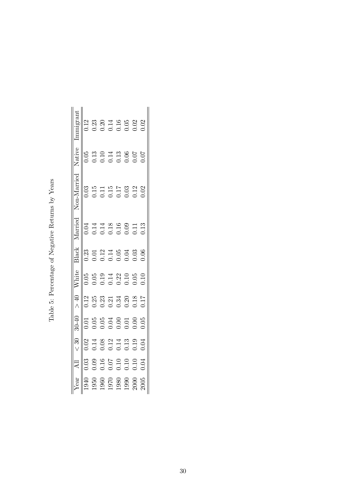|                                                             |                                                                | ನೆ                                                     |                                                                     |                                                                             |                                                                                        |                                                                             |                                                                     |                                                                             |                                              |                                                |
|-------------------------------------------------------------|----------------------------------------------------------------|--------------------------------------------------------|---------------------------------------------------------------------|-----------------------------------------------------------------------------|----------------------------------------------------------------------------------------|-----------------------------------------------------------------------------|---------------------------------------------------------------------|-----------------------------------------------------------------------------|----------------------------------------------|------------------------------------------------|
|                                                             | .03                                                            |                                                        |                                                                     | 1.12                                                                        |                                                                                        | 0.23                                                                        |                                                                     |                                                                             |                                              |                                                |
| 1950                                                        | 0.09                                                           |                                                        | 0.05                                                                | 0.25                                                                        |                                                                                        | 0.01                                                                        | 0.14                                                                |                                                                             |                                              |                                                |
| 1960                                                        | 0.16                                                           | 0.08                                                   | 0.05                                                                |                                                                             |                                                                                        | $\begin{array}{c} 0.12 \\ 0.14 \\ 0.05 \\ 0.03 \\ 0.03 \\ 0.06 \end{array}$ | 0.14                                                                |                                                                             | 0.13<br>0.10<br>0.14<br>0.06<br>0.07<br>0.07 |                                                |
|                                                             |                                                                |                                                        | $\begin{array}{c} 0.04 \\ 0.01 \\ 0.01 \\ 0.00 \\ 0.05 \end{array}$ | $\begin{array}{c} 0.23 \\ 0.21 \\ 0.34 \\ 0.20 \\ 0.17 \\ 0.17 \end{array}$ | $\begin{array}{c} 0.19 \\ 0.14 \\ 0.22 \\ 0.10 \\ 0.05 \\ 0.05 \\ 0.10 \\ \end{array}$ |                                                                             | $\begin{array}{c} 0.18 \\ 0.16 \\ 0.09 \\ 0.11 \\ 0.13 \end{array}$ | $\begin{array}{c} 0.11 \\ 0.15 \\ 0.17 \\ 0.03 \\ 0.02 \\ 0.02 \end{array}$ |                                              | $0.20$<br>$0.14$<br>$0.05$<br>$0.02$<br>$0.02$ |
| $\begin{array}{c} 1970 \\ 1980 \\ 1990 \\ 1900 \end{array}$ | $\begin{array}{c} 0.07 \\ 0.10 \\ 0.10 \\ 0.10 \\ \end{array}$ | $\begin{array}{c} 0.12 \\ 0.13 \\ 0.03 \\ \end{array}$ |                                                                     |                                                                             |                                                                                        |                                                                             |                                                                     |                                                                             |                                              |                                                |
|                                                             |                                                                |                                                        |                                                                     |                                                                             |                                                                                        |                                                                             |                                                                     |                                                                             |                                              |                                                |
|                                                             |                                                                |                                                        |                                                                     |                                                                             |                                                                                        |                                                                             |                                                                     |                                                                             |                                              |                                                |
| 2005                                                        | 0.04                                                           | 0.04                                                   |                                                                     |                                                                             |                                                                                        |                                                                             |                                                                     |                                                                             |                                              |                                                |

Table 5: Percentage of Negative Returns by Years Table 5: Percentage of Negative Returns by Years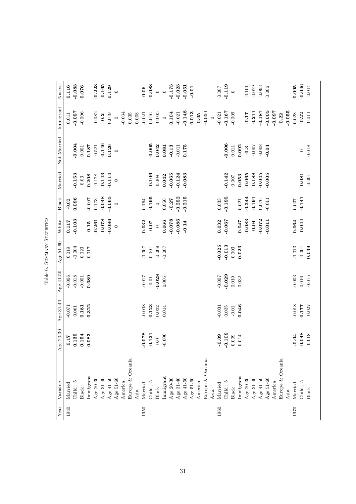| $-0.055$<br>$-0.057$<br>$-0.148$<br>$-0.005$<br>$-0.167$<br>$-0.211$<br>$-0.187$<br>$-0.097$<br>0.013<br>$-0.051$<br>$-0.006$<br>$-0.082$<br>0.104<br>$-0.009$<br>$-0.17$<br>0.028<br>$-0.22$<br>0.008<br>0.016<br>$-0.005$<br>$-0.021$<br>$-0.021$<br>$-0.011$<br>0.011<br>0.019<br>0.035<br>$-0.034$<br>$-0.021$<br>0.22<br>0.05<br>$-0.2$<br>$\circ$<br>$\circ$<br>$\circ$<br>$-0.004$<br>$-0.005$<br>$-0.006$<br>$-0.146$<br>0.187<br>0.126<br>0.042<br>0.092<br>$-0.007$<br>$-0.008$<br>$-0.13$<br>0.175<br>$-0.521$<br>0.081<br>$-0.011$<br>0.018<br>0.001<br>0.011<br>$-0.04$<br>$-0.3$<br>$\circ$<br>$\circ$<br>$-0.106$<br>$-0.045$<br>$-0.153$<br>$-0.142$<br>$-0.065$<br>$-0.188$<br>$-0.005$<br>$-0.065$<br>$-0.083$<br>$-0.143$<br>$-0.114$<br>$-0.124$<br>$-0.081$<br>0.053<br>0.208<br>0.042<br>$-0.178$<br>0.008<br>$-0.001$<br>0.007<br>0.03<br>$\circ$<br>$-0.048$<br>$-0.195$<br>$-0.065$<br>$-0.215$<br>$-0.195$<br>$-0.244$<br>$-0.252$<br>$-0.141$<br>$-0.191$<br>0.096<br>$-0.007$<br>0.173<br>$-0.27$<br>0.033<br>0.164<br>0.056<br>$0.076\,$<br>$-0.011$<br>0.037<br>0.021<br>$-0.02$<br>$\circ$<br>$\circ$<br>$-0.103$<br>$-0.078$<br>$-0.086$<br>$-0.044$<br>$-0.078$<br>$-0.086$<br>$-0.067$<br>$-0.083$<br>$-0.072$<br>0.032<br>0.064<br>$-0.261$<br>$-0.011$<br>0.032<br>0.066<br>0.047<br>0.117<br>$-0.14$<br>$-0.04$<br>$-0.07$<br>0.15<br>$\circ$<br>$\circ$<br>$-0.025$<br>$-0.013$<br>$-0.013$<br>$-0.004$<br>0.023<br>0.039<br>$-0.007$<br>$-0.009$<br>0.003<br>0.019<br>0.023<br>0.001<br>$-0.007$<br>$-0.001$<br>0.017<br>$-0.029$<br>$-0.018$<br>$-0.028$<br>$-0.017$<br>$-0.007$<br>$-0.006$<br>$-0.003$<br>$-0.015$<br>0.089<br>$-0.001$<br>0.019<br>0.016<br>$-0.01$<br>0.005<br>0.032<br>$-0.018$<br>$-0.008$<br>0.123<br>$-0.031$<br>0.177<br>0.322<br>$-0.027$<br>$-0.071$<br>0.181<br>0.046<br>0.061<br>0.035<br>0.032<br>0.014<br>$-0.01$<br>0.078<br>$-0.048$<br>$-0.109$<br>0.154<br>$-0.018$<br>0.135<br>0.083<br>0.121<br>$-0.006$<br>$-0.09$<br>$-0.04$<br>0.009<br>0.014<br>0.17<br>$0.01\,$<br>Europe & Oceania<br>Europe & Oceania<br>Europe & Oceania<br>Immigrant<br>Immigrant<br>Immigrant<br>Age 20-30<br>Age 31-40<br>Age 51-60<br>Age 41-50<br>Age 51-60<br>Age 31-40<br>Age 51-60<br>Age 20-30<br>Age 31-40<br>Age $20-30$<br>Age $41-50$<br>Age 41-50<br>Child   5<br>Child   5<br>Child $\mathfrak{z}$ 5<br>Child $\overline{1}$ 5<br>America<br>America<br>America<br>Married<br>Married<br>Married<br>Married<br><b>Black</b><br>Black<br>Black<br><b>Black</b><br>Asia<br>Asia<br>Asia<br>1970<br>1950<br>1960<br>1940 | Year | Variable | Age 20-30 | Age 31-40 | Age 41-50 | Age 51-60 | White | Black | Married | Not Married | Immigrant | Native   |
|-------------------------------------------------------------------------------------------------------------------------------------------------------------------------------------------------------------------------------------------------------------------------------------------------------------------------------------------------------------------------------------------------------------------------------------------------------------------------------------------------------------------------------------------------------------------------------------------------------------------------------------------------------------------------------------------------------------------------------------------------------------------------------------------------------------------------------------------------------------------------------------------------------------------------------------------------------------------------------------------------------------------------------------------------------------------------------------------------------------------------------------------------------------------------------------------------------------------------------------------------------------------------------------------------------------------------------------------------------------------------------------------------------------------------------------------------------------------------------------------------------------------------------------------------------------------------------------------------------------------------------------------------------------------------------------------------------------------------------------------------------------------------------------------------------------------------------------------------------------------------------------------------------------------------------------------------------------------------------------------------------------------------------------------------------------------------------------------------------------------------------------------------------------------------------------------------------------------------------------------------------------------------------------------------------------------------------------------------------------------------------------------------------------------------------------------------------------------------------------------------------------------------------------------------------------------------------------------|------|----------|-----------|-----------|-----------|-----------|-------|-------|---------|-------------|-----------|----------|
|                                                                                                                                                                                                                                                                                                                                                                                                                                                                                                                                                                                                                                                                                                                                                                                                                                                                                                                                                                                                                                                                                                                                                                                                                                                                                                                                                                                                                                                                                                                                                                                                                                                                                                                                                                                                                                                                                                                                                                                                                                                                                                                                                                                                                                                                                                                                                                                                                                                                                                                                                                                           |      |          |           |           |           |           |       |       |         |             |           | 0.116    |
|                                                                                                                                                                                                                                                                                                                                                                                                                                                                                                                                                                                                                                                                                                                                                                                                                                                                                                                                                                                                                                                                                                                                                                                                                                                                                                                                                                                                                                                                                                                                                                                                                                                                                                                                                                                                                                                                                                                                                                                                                                                                                                                                                                                                                                                                                                                                                                                                                                                                                                                                                                                           |      |          |           |           |           |           |       |       |         |             |           | $-0.083$ |
|                                                                                                                                                                                                                                                                                                                                                                                                                                                                                                                                                                                                                                                                                                                                                                                                                                                                                                                                                                                                                                                                                                                                                                                                                                                                                                                                                                                                                                                                                                                                                                                                                                                                                                                                                                                                                                                                                                                                                                                                                                                                                                                                                                                                                                                                                                                                                                                                                                                                                                                                                                                           |      |          |           |           |           |           |       |       |         |             |           | 0.076    |
|                                                                                                                                                                                                                                                                                                                                                                                                                                                                                                                                                                                                                                                                                                                                                                                                                                                                                                                                                                                                                                                                                                                                                                                                                                                                                                                                                                                                                                                                                                                                                                                                                                                                                                                                                                                                                                                                                                                                                                                                                                                                                                                                                                                                                                                                                                                                                                                                                                                                                                                                                                                           |      |          |           |           |           |           |       |       |         |             |           |          |
|                                                                                                                                                                                                                                                                                                                                                                                                                                                                                                                                                                                                                                                                                                                                                                                                                                                                                                                                                                                                                                                                                                                                                                                                                                                                                                                                                                                                                                                                                                                                                                                                                                                                                                                                                                                                                                                                                                                                                                                                                                                                                                                                                                                                                                                                                                                                                                                                                                                                                                                                                                                           |      |          |           |           |           |           |       |       |         |             |           | $-0.223$ |
|                                                                                                                                                                                                                                                                                                                                                                                                                                                                                                                                                                                                                                                                                                                                                                                                                                                                                                                                                                                                                                                                                                                                                                                                                                                                                                                                                                                                                                                                                                                                                                                                                                                                                                                                                                                                                                                                                                                                                                                                                                                                                                                                                                                                                                                                                                                                                                                                                                                                                                                                                                                           |      |          |           |           |           |           |       |       |         |             |           | $-0.165$ |
|                                                                                                                                                                                                                                                                                                                                                                                                                                                                                                                                                                                                                                                                                                                                                                                                                                                                                                                                                                                                                                                                                                                                                                                                                                                                                                                                                                                                                                                                                                                                                                                                                                                                                                                                                                                                                                                                                                                                                                                                                                                                                                                                                                                                                                                                                                                                                                                                                                                                                                                                                                                           |      |          |           |           |           |           |       |       |         |             |           | 0.129    |
|                                                                                                                                                                                                                                                                                                                                                                                                                                                                                                                                                                                                                                                                                                                                                                                                                                                                                                                                                                                                                                                                                                                                                                                                                                                                                                                                                                                                                                                                                                                                                                                                                                                                                                                                                                                                                                                                                                                                                                                                                                                                                                                                                                                                                                                                                                                                                                                                                                                                                                                                                                                           |      |          |           |           |           |           |       |       |         |             |           | $\circ$  |
|                                                                                                                                                                                                                                                                                                                                                                                                                                                                                                                                                                                                                                                                                                                                                                                                                                                                                                                                                                                                                                                                                                                                                                                                                                                                                                                                                                                                                                                                                                                                                                                                                                                                                                                                                                                                                                                                                                                                                                                                                                                                                                                                                                                                                                                                                                                                                                                                                                                                                                                                                                                           |      |          |           |           |           |           |       |       |         |             |           |          |
|                                                                                                                                                                                                                                                                                                                                                                                                                                                                                                                                                                                                                                                                                                                                                                                                                                                                                                                                                                                                                                                                                                                                                                                                                                                                                                                                                                                                                                                                                                                                                                                                                                                                                                                                                                                                                                                                                                                                                                                                                                                                                                                                                                                                                                                                                                                                                                                                                                                                                                                                                                                           |      |          |           |           |           |           |       |       |         |             |           |          |
|                                                                                                                                                                                                                                                                                                                                                                                                                                                                                                                                                                                                                                                                                                                                                                                                                                                                                                                                                                                                                                                                                                                                                                                                                                                                                                                                                                                                                                                                                                                                                                                                                                                                                                                                                                                                                                                                                                                                                                                                                                                                                                                                                                                                                                                                                                                                                                                                                                                                                                                                                                                           |      |          |           |           |           |           |       |       |         |             |           |          |
|                                                                                                                                                                                                                                                                                                                                                                                                                                                                                                                                                                                                                                                                                                                                                                                                                                                                                                                                                                                                                                                                                                                                                                                                                                                                                                                                                                                                                                                                                                                                                                                                                                                                                                                                                                                                                                                                                                                                                                                                                                                                                                                                                                                                                                                                                                                                                                                                                                                                                                                                                                                           |      |          |           |           |           |           |       |       |         |             |           | 0.06     |
|                                                                                                                                                                                                                                                                                                                                                                                                                                                                                                                                                                                                                                                                                                                                                                                                                                                                                                                                                                                                                                                                                                                                                                                                                                                                                                                                                                                                                                                                                                                                                                                                                                                                                                                                                                                                                                                                                                                                                                                                                                                                                                                                                                                                                                                                                                                                                                                                                                                                                                                                                                                           |      |          |           |           |           |           |       |       |         |             |           | $-0.088$ |
|                                                                                                                                                                                                                                                                                                                                                                                                                                                                                                                                                                                                                                                                                                                                                                                                                                                                                                                                                                                                                                                                                                                                                                                                                                                                                                                                                                                                                                                                                                                                                                                                                                                                                                                                                                                                                                                                                                                                                                                                                                                                                                                                                                                                                                                                                                                                                                                                                                                                                                                                                                                           |      |          |           |           |           |           |       |       |         |             |           | $\circ$  |
|                                                                                                                                                                                                                                                                                                                                                                                                                                                                                                                                                                                                                                                                                                                                                                                                                                                                                                                                                                                                                                                                                                                                                                                                                                                                                                                                                                                                                                                                                                                                                                                                                                                                                                                                                                                                                                                                                                                                                                                                                                                                                                                                                                                                                                                                                                                                                                                                                                                                                                                                                                                           |      |          |           |           |           |           |       |       |         |             |           | $\circ$  |
|                                                                                                                                                                                                                                                                                                                                                                                                                                                                                                                                                                                                                                                                                                                                                                                                                                                                                                                                                                                                                                                                                                                                                                                                                                                                                                                                                                                                                                                                                                                                                                                                                                                                                                                                                                                                                                                                                                                                                                                                                                                                                                                                                                                                                                                                                                                                                                                                                                                                                                                                                                                           |      |          |           |           |           |           |       |       |         |             |           | $-0.173$ |
|                                                                                                                                                                                                                                                                                                                                                                                                                                                                                                                                                                                                                                                                                                                                                                                                                                                                                                                                                                                                                                                                                                                                                                                                                                                                                                                                                                                                                                                                                                                                                                                                                                                                                                                                                                                                                                                                                                                                                                                                                                                                                                                                                                                                                                                                                                                                                                                                                                                                                                                                                                                           |      |          |           |           |           |           |       |       |         |             |           | $-0.023$ |
|                                                                                                                                                                                                                                                                                                                                                                                                                                                                                                                                                                                                                                                                                                                                                                                                                                                                                                                                                                                                                                                                                                                                                                                                                                                                                                                                                                                                                                                                                                                                                                                                                                                                                                                                                                                                                                                                                                                                                                                                                                                                                                                                                                                                                                                                                                                                                                                                                                                                                                                                                                                           |      |          |           |           |           |           |       |       |         |             |           | $-0.051$ |
|                                                                                                                                                                                                                                                                                                                                                                                                                                                                                                                                                                                                                                                                                                                                                                                                                                                                                                                                                                                                                                                                                                                                                                                                                                                                                                                                                                                                                                                                                                                                                                                                                                                                                                                                                                                                                                                                                                                                                                                                                                                                                                                                                                                                                                                                                                                                                                                                                                                                                                                                                                                           |      |          |           |           |           |           |       |       |         |             |           | $-0.01$  |
|                                                                                                                                                                                                                                                                                                                                                                                                                                                                                                                                                                                                                                                                                                                                                                                                                                                                                                                                                                                                                                                                                                                                                                                                                                                                                                                                                                                                                                                                                                                                                                                                                                                                                                                                                                                                                                                                                                                                                                                                                                                                                                                                                                                                                                                                                                                                                                                                                                                                                                                                                                                           |      |          |           |           |           |           |       |       |         |             |           |          |
|                                                                                                                                                                                                                                                                                                                                                                                                                                                                                                                                                                                                                                                                                                                                                                                                                                                                                                                                                                                                                                                                                                                                                                                                                                                                                                                                                                                                                                                                                                                                                                                                                                                                                                                                                                                                                                                                                                                                                                                                                                                                                                                                                                                                                                                                                                                                                                                                                                                                                                                                                                                           |      |          |           |           |           |           |       |       |         |             |           |          |
|                                                                                                                                                                                                                                                                                                                                                                                                                                                                                                                                                                                                                                                                                                                                                                                                                                                                                                                                                                                                                                                                                                                                                                                                                                                                                                                                                                                                                                                                                                                                                                                                                                                                                                                                                                                                                                                                                                                                                                                                                                                                                                                                                                                                                                                                                                                                                                                                                                                                                                                                                                                           |      |          |           |           |           |           |       |       |         |             |           |          |
|                                                                                                                                                                                                                                                                                                                                                                                                                                                                                                                                                                                                                                                                                                                                                                                                                                                                                                                                                                                                                                                                                                                                                                                                                                                                                                                                                                                                                                                                                                                                                                                                                                                                                                                                                                                                                                                                                                                                                                                                                                                                                                                                                                                                                                                                                                                                                                                                                                                                                                                                                                                           |      |          |           |           |           |           |       |       |         |             |           | 0.007    |
|                                                                                                                                                                                                                                                                                                                                                                                                                                                                                                                                                                                                                                                                                                                                                                                                                                                                                                                                                                                                                                                                                                                                                                                                                                                                                                                                                                                                                                                                                                                                                                                                                                                                                                                                                                                                                                                                                                                                                                                                                                                                                                                                                                                                                                                                                                                                                                                                                                                                                                                                                                                           |      |          |           |           |           |           |       |       |         |             |           | $-0.119$ |
|                                                                                                                                                                                                                                                                                                                                                                                                                                                                                                                                                                                                                                                                                                                                                                                                                                                                                                                                                                                                                                                                                                                                                                                                                                                                                                                                                                                                                                                                                                                                                                                                                                                                                                                                                                                                                                                                                                                                                                                                                                                                                                                                                                                                                                                                                                                                                                                                                                                                                                                                                                                           |      |          |           |           |           |           |       |       |         |             |           | $\circ$  |
|                                                                                                                                                                                                                                                                                                                                                                                                                                                                                                                                                                                                                                                                                                                                                                                                                                                                                                                                                                                                                                                                                                                                                                                                                                                                                                                                                                                                                                                                                                                                                                                                                                                                                                                                                                                                                                                                                                                                                                                                                                                                                                                                                                                                                                                                                                                                                                                                                                                                                                                                                                                           |      |          |           |           |           |           |       |       |         |             |           |          |
|                                                                                                                                                                                                                                                                                                                                                                                                                                                                                                                                                                                                                                                                                                                                                                                                                                                                                                                                                                                                                                                                                                                                                                                                                                                                                                                                                                                                                                                                                                                                                                                                                                                                                                                                                                                                                                                                                                                                                                                                                                                                                                                                                                                                                                                                                                                                                                                                                                                                                                                                                                                           |      |          |           |           |           |           |       |       |         |             |           | $-0.101$ |
|                                                                                                                                                                                                                                                                                                                                                                                                                                                                                                                                                                                                                                                                                                                                                                                                                                                                                                                                                                                                                                                                                                                                                                                                                                                                                                                                                                                                                                                                                                                                                                                                                                                                                                                                                                                                                                                                                                                                                                                                                                                                                                                                                                                                                                                                                                                                                                                                                                                                                                                                                                                           |      |          |           |           |           |           |       |       |         |             |           | $-0.079$ |
|                                                                                                                                                                                                                                                                                                                                                                                                                                                                                                                                                                                                                                                                                                                                                                                                                                                                                                                                                                                                                                                                                                                                                                                                                                                                                                                                                                                                                                                                                                                                                                                                                                                                                                                                                                                                                                                                                                                                                                                                                                                                                                                                                                                                                                                                                                                                                                                                                                                                                                                                                                                           |      |          |           |           |           |           |       |       |         |             |           | $-0.093$ |
|                                                                                                                                                                                                                                                                                                                                                                                                                                                                                                                                                                                                                                                                                                                                                                                                                                                                                                                                                                                                                                                                                                                                                                                                                                                                                                                                                                                                                                                                                                                                                                                                                                                                                                                                                                                                                                                                                                                                                                                                                                                                                                                                                                                                                                                                                                                                                                                                                                                                                                                                                                                           |      |          |           |           |           |           |       |       |         |             |           | 0.006    |
|                                                                                                                                                                                                                                                                                                                                                                                                                                                                                                                                                                                                                                                                                                                                                                                                                                                                                                                                                                                                                                                                                                                                                                                                                                                                                                                                                                                                                                                                                                                                                                                                                                                                                                                                                                                                                                                                                                                                                                                                                                                                                                                                                                                                                                                                                                                                                                                                                                                                                                                                                                                           |      |          |           |           |           |           |       |       |         |             |           |          |
|                                                                                                                                                                                                                                                                                                                                                                                                                                                                                                                                                                                                                                                                                                                                                                                                                                                                                                                                                                                                                                                                                                                                                                                                                                                                                                                                                                                                                                                                                                                                                                                                                                                                                                                                                                                                                                                                                                                                                                                                                                                                                                                                                                                                                                                                                                                                                                                                                                                                                                                                                                                           |      |          |           |           |           |           |       |       |         |             |           |          |
|                                                                                                                                                                                                                                                                                                                                                                                                                                                                                                                                                                                                                                                                                                                                                                                                                                                                                                                                                                                                                                                                                                                                                                                                                                                                                                                                                                                                                                                                                                                                                                                                                                                                                                                                                                                                                                                                                                                                                                                                                                                                                                                                                                                                                                                                                                                                                                                                                                                                                                                                                                                           |      |          |           |           |           |           |       |       |         |             |           |          |
|                                                                                                                                                                                                                                                                                                                                                                                                                                                                                                                                                                                                                                                                                                                                                                                                                                                                                                                                                                                                                                                                                                                                                                                                                                                                                                                                                                                                                                                                                                                                                                                                                                                                                                                                                                                                                                                                                                                                                                                                                                                                                                                                                                                                                                                                                                                                                                                                                                                                                                                                                                                           |      |          |           |           |           |           |       |       |         |             |           | 0.095    |
|                                                                                                                                                                                                                                                                                                                                                                                                                                                                                                                                                                                                                                                                                                                                                                                                                                                                                                                                                                                                                                                                                                                                                                                                                                                                                                                                                                                                                                                                                                                                                                                                                                                                                                                                                                                                                                                                                                                                                                                                                                                                                                                                                                                                                                                                                                                                                                                                                                                                                                                                                                                           |      |          |           |           |           |           |       |       |         |             |           | $-0.046$ |
|                                                                                                                                                                                                                                                                                                                                                                                                                                                                                                                                                                                                                                                                                                                                                                                                                                                                                                                                                                                                                                                                                                                                                                                                                                                                                                                                                                                                                                                                                                                                                                                                                                                                                                                                                                                                                                                                                                                                                                                                                                                                                                                                                                                                                                                                                                                                                                                                                                                                                                                                                                                           |      |          |           |           |           |           |       |       |         |             |           | $-0.014$ |

| 7       |
|---------|
| l       |
| ۰<br>cc |
|         |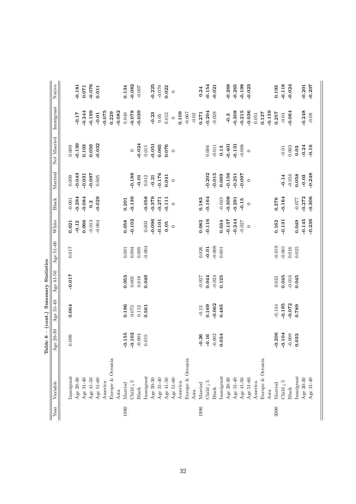|              |                        | Table 6 - (cont.) Summary Statistics |                  |           |           |          |          |           |             |           |          |
|--------------|------------------------|--------------------------------------|------------------|-----------|-----------|----------|----------|-----------|-------------|-----------|----------|
| ${\it Year}$ | Variable               | Age 20-30                            | $31 - 40$<br>Age | Age 41-50 | Age 51-60 | White    | Black    | Married   | Not Married | Immigrant | Native   |
|              |                        |                                      |                  |           |           |          |          |           |             |           |          |
|              | Immigrant              | 0.009                                | 0.064            | $-0.017$  | 0.017     | 0.021    | $-0.001$ | 0.009     | 0.009       |           |          |
|              | Age 20-30              |                                      |                  |           |           | $-0.12$  | $-0.294$ | $-0.043$  | $-0.139$    | $-0.17$   | $-0.181$ |
|              | Age $31-40$            |                                      |                  |           |           | 0.066    | $-0.084$ | $-0.031$  | 0.103       | $-0.244$  | 0.071    |
|              | Age 41-50              |                                      |                  |           |           | $-0.013$ | 0.2      | $760.0 -$ | 0.059       | $-0.199$  | $-0.076$ |
|              | Age $51-60$            |                                      |                  |           |           | $-0.004$ | $-0.029$ | 0.005     | $-0.032$    | $-0.01$   | 0.011    |
|              | America                |                                      |                  |           |           |          |          |           |             | $-0.075$  |          |
|              | Europe & Oceania       |                                      |                  |           |           |          |          |           |             | 0.229     |          |
|              | Asia                   |                                      |                  |           |           |          |          |           |             | $-0.082$  |          |
| 1980         | Married                | 0.155                                | 0.196            | 0.053     | $0.001\,$ | 0.058    | 0.201    |           |             | 0.049     | 0.134    |
|              | Child $\overline{1}$ 5 | $-0.102$                             | 0.073            | 0.005     | 0.004     | $-0.102$ | $-0.139$ | $-0.188$  | $\circ$     | $-0.078$  | $-0.082$ |
|              | Black                  | $-0.004$                             | 0.112            | 0.018     | $0.005$   |          |          | $-0.01$   | $-0.024$    | $-0.039$  | $-0.007$ |
|              | Immigrant              | 0.015                                | 0.561            | 0.049     | $-0.004$  | 0.003    | $-0.058$ | 0.012     | 0.015       |           |          |
|              | Age 20-30              |                                      |                  |           |           | $-0.096$ | $-0.379$ | $-0.21$   | $-0.051$    | $-0.23$   | $-0.225$ |
|              | Age $31-40$            |                                      |                  |           |           | $-0.101$ | $-0.271$ | $-0.176$  | 0.065       | $0.05$    | $-0.079$ |
|              | Age 41-50              |                                      |                  |           |           | 0.05     | $-0.111$ | 0.041     | 0.076       | 0.012     | 0.022    |
|              | Age 51-60              |                                      |                  |           |           | $\circ$  | $\circ$  | $\circ$   | $\circ$     | $\circ$   | $\circ$  |
|              | America                |                                      |                  |           |           |          |          |           |             | 0.109     |          |
|              | Europe & Oceania       |                                      |                  |           |           |          |          |           |             | $-0.067$  |          |
|              | Asia                   |                                      |                  |           |           |          |          |           |             | $-0.02$   |          |
| 1990         | Married                | $-0.26$                              | $-0.13$          | $-0.027$  | 0.026     | 0.082    | 0.183    |           |             | 0.271     | 0.24     |
|              | Child $\vert$ 5        | $-0.16$                              | 0.169            | 0.044     | $-0.01$   | $-0.116$ | $-0.164$ | $-0.202$  | 0.006       | $-0.204$  | $-0.154$ |
|              | Black                  | $-0.002$                             | $-0.062$         | $-0.024$  | $-0.008$  |          |          | $-0.015$  | $-0.011$    | $-0.028$  | $-0.021$ |
|              | Immigrant              | 0.034                                | 0.485            | 0.125     | 0.001     | 0.034    | $-0.043$ | 0.069     | 0.13        |           |          |
|              | Age 20-30              |                                      |                  |           |           | $-0.137$ | $-0.308$ | $-0.156$  | $-0.401$    | $-0.3$    | $-0.268$ |
|              | Age $31-40$            |                                      |                  |           |           | $-0.244$ | $-0.291$ | $-0.251$  | $-0.131$    | $-0.308$  | $-0.265$ |
|              | Age 41-50              |                                      |                  |           |           | $-0.027$ | $-0.15$  | $-0.097$  | $-0.008$    | $-0.215$  | $-0.198$ |
|              | Age 51-60              |                                      |                  |           |           | $\circ$  | $\circ$  | $\circ$   | $\circ$     | $-0.036$  | $-0.023$ |
|              | America                |                                      |                  |           |           |          |          |           |             | 0.051     |          |
|              | Europe & Oceania       |                                      |                  |           |           |          |          |           |             | 0.127     |          |
|              | Asia                   |                                      |                  |           |           |          |          |           |             | $-0.159$  |          |
| 2000         | Married                | $-0.206$                             | $-0.144$         | 0.023     | $-0.019$  | 0.162    | 0.276    |           |             | 0.257     | 0.193    |
|              | Child $\overline{1}$ 5 | $-0.104$                             | $-0.195$         | 0.045     | $-0.001$  | $-0.131$ | $-0.164$ | $-0.14$   | $-0.01$     | $-0.04$   | $-0.118$ |
|              | <b>Black</b>           | $-0.009$                             | $-0.072$         | $-0.016$  | 0.016     |          |          | $-0.016$  | 0.003       | $-0.064$  | $-0.024$ |
|              | Immigrant              | 0.033                                | 0.789            | 0.045     | 0.025     | 0.049    | $-0.077$ | 0.058     | 0.03        |           |          |
|              | Age 20-30              |                                      |                  |           |           | $-0.145$ | $-0.272$ | $-0.03$   | $-0.24$     | $-0.248$  | $-0.201$ |
|              | Age 31-40              |                                      |                  |           |           | $-0.236$ | $-0.306$ | $-0.248$  | $-0.16$     | $-0.08$   | $-0.207$ |
|              |                        |                                      |                  |           |           |          |          |           |             |           |          |

 $\overline{1}$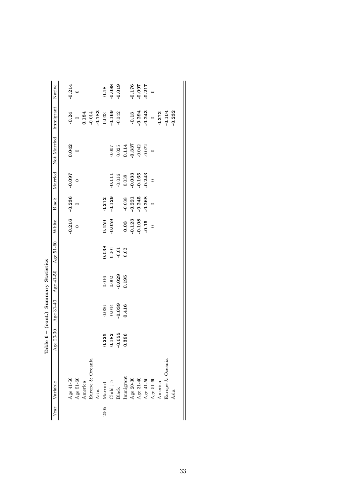|                                        | Native      | $-0.214$    | $\circ$        |         |                  |      | 0.18              | $-0.088$                                                  | $-0.019$ |          |                                                                                                                                                                                              | $-0.176$<br>$-0.097$ | $-0.217$ |                |                   |                  |          |
|----------------------------------------|-------------|-------------|----------------|---------|------------------|------|-------------------|-----------------------------------------------------------|----------|----------|----------------------------------------------------------------------------------------------------------------------------------------------------------------------------------------------|----------------------|----------|----------------|-------------------|------------------|----------|
|                                        | Immigrant   | $-0.24$     | $\circ$        | 0.184   |                  |      | $-0.183$<br>0.033 | $-0.169$                                                  | $-0.042$ |          | $-0.13$                                                                                                                                                                                      | $-0.294$             |          |                | $-0.243$<br>0.373 | $-0.104$         | $-0.232$ |
|                                        | Not Married | 0.042       | $\circ$        |         |                  |      |                   |                                                           |          |          | $\begin{array}{c} 0.007 \\ 0.025 \\ \textbf{0.114} \\ \textbf{0.337} \\ \textbf{0.042} \end{array}$                                                                                          |                      | 0.022    |                |                   |                  |          |
|                                        | Married     | $-0.097$    | $\circ$        |         |                  |      |                   | 0.111                                                     | $-0.016$ | 0.038    | $-0.033$                                                                                                                                                                                     | $-0.165$             | 0.243    | $\circ$        |                   |                  |          |
|                                        | Black       | $-0.236$    | $\overline{0}$ |         |                  |      | 0.212             | $-0.129$                                                  |          | $-0.038$ | $-0.221$                                                                                                                                                                                     | $-0.245$             | $-0.268$ | $\overline{a}$ |                   |                  |          |
|                                        | White       | $-0.216$    | $\overline{a}$ |         |                  |      | 0.159             | $-0.059$                                                  |          | 0.03     | $-0.123$                                                                                                                                                                                     | $-0.108$             | $-0.15$  | $\circ$        |                   |                  |          |
|                                        | Age 51-60   |             |                |         |                  |      | 0.038             | $\begin{array}{c} 0.001 \\ -0.01 \\ 0.02 \end{array}$     |          |          |                                                                                                                                                                                              |                      |          |                |                   |                  |          |
|                                        | Age 41-50   |             |                |         |                  |      |                   | $0.016$<br>$0.002$                                        | $-0.029$ | 0.195    |                                                                                                                                                                                              |                      |          |                |                   |                  |          |
|                                        | Age 31-40   |             |                |         |                  |      | 0.036             | $-0.044$                                                  | $-0.039$ | 0.416    |                                                                                                                                                                                              |                      |          |                |                   |                  |          |
| Table $6 - (cont.)$ Summary Statistics | Age 20-30   |             |                |         |                  |      | 0.225             | 0.182                                                     | $-0.055$ | 0.396    |                                                                                                                                                                                              |                      |          |                |                   |                  |          |
|                                        | Variable    | Age $41-50$ | Age 51-60      | America | Europe & Oceania | Asia | Married           | $\begin{tabular}{ll} Child & 5 \\ Black \\ \end{tabular}$ |          |          | $\begin{array}{l} \mbox{Immigrant} \\ \mbox{Age\ 20-30} \\ \mbox{Age\ 31-40} \\ \mbox{Age\ 41-50} \\ \mbox{Age\ 41-50} \\ \mbox{Age\ 51-60} \\ \mbox{America} \\ \mbox{America} \end{array}$ |                      |          |                |                   | Europe & Oceania | Asia     |
|                                        | rear        |             |                |         |                  |      | 2005              |                                                           |          |          |                                                                                                                                                                                              |                      |          |                |                   |                  |          |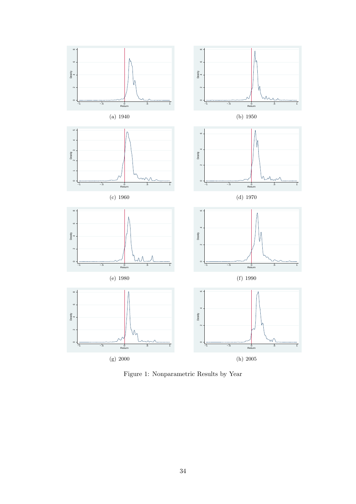

Figure 1: Nonparametric Results by Year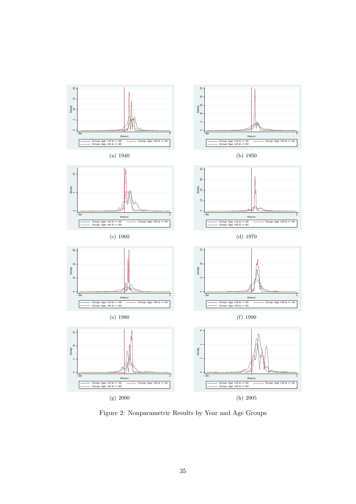

Figure 2: Nonparametric Results by Year and Age Groups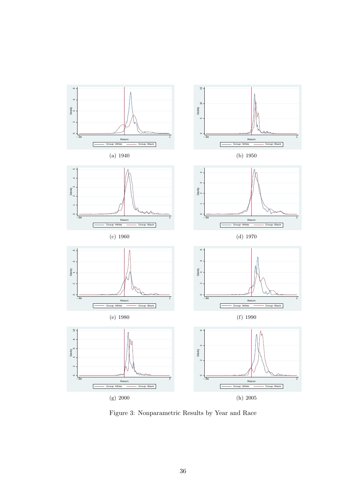

Figure 3: Nonparametric Results by Year and Race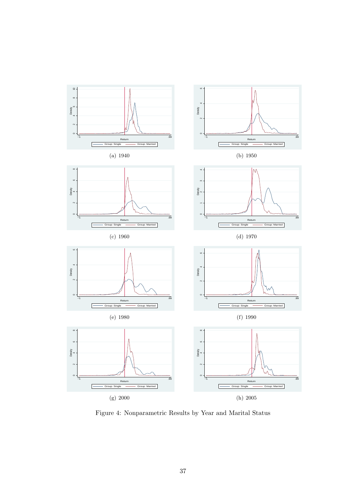

Figure 4: Nonparametric Results by Year and Marital Status